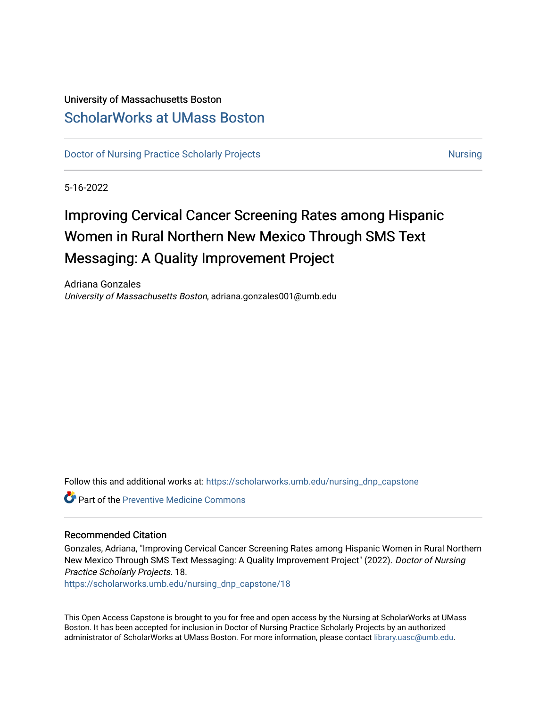## University of Massachusetts Boston [ScholarWorks at UMass Boston](https://scholarworks.umb.edu/)

[Doctor of Nursing Practice Scholarly Projects](https://scholarworks.umb.edu/nursing_dnp_capstone) [Nursing](https://scholarworks.umb.edu/nursing) Nursing Nursing

5-16-2022

# Improving Cervical Cancer Screening Rates among Hispanic Women in Rural Northern New Mexico Through SMS Text Messaging: A Quality Improvement Project

Adriana Gonzales University of Massachusetts Boston, adriana.gonzales001@umb.edu

Follow this and additional works at: [https://scholarworks.umb.edu/nursing\\_dnp\\_capstone](https://scholarworks.umb.edu/nursing_dnp_capstone?utm_source=scholarworks.umb.edu%2Fnursing_dnp_capstone%2F18&utm_medium=PDF&utm_campaign=PDFCoverPages) 

**C** Part of the Preventive Medicine Commons

#### Recommended Citation

Gonzales, Adriana, "Improving Cervical Cancer Screening Rates among Hispanic Women in Rural Northern New Mexico Through SMS Text Messaging: A Quality Improvement Project" (2022). Doctor of Nursing Practice Scholarly Projects. 18.

[https://scholarworks.umb.edu/nursing\\_dnp\\_capstone/18](https://scholarworks.umb.edu/nursing_dnp_capstone/18?utm_source=scholarworks.umb.edu%2Fnursing_dnp_capstone%2F18&utm_medium=PDF&utm_campaign=PDFCoverPages)

This Open Access Capstone is brought to you for free and open access by the Nursing at ScholarWorks at UMass Boston. It has been accepted for inclusion in Doctor of Nursing Practice Scholarly Projects by an authorized administrator of ScholarWorks at UMass Boston. For more information, please contact [library.uasc@umb.edu.](mailto:library.uasc@umb.edu)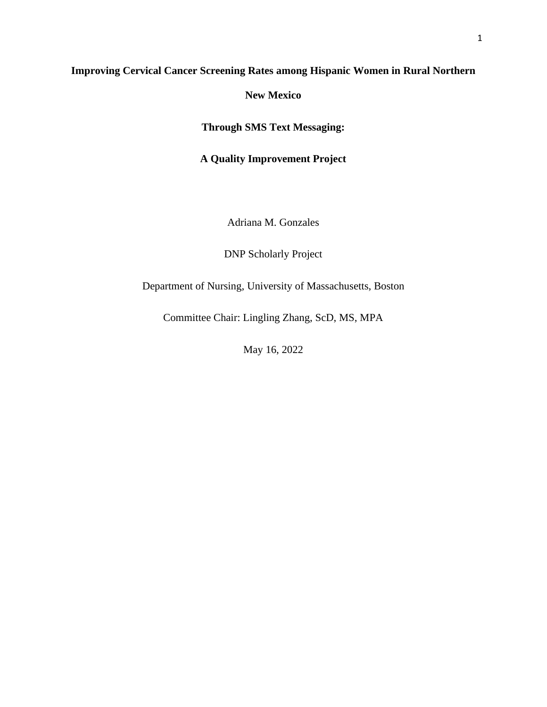## **Improving Cervical Cancer Screening Rates among Hispanic Women in Rural Northern**

**New Mexico**

**Through SMS Text Messaging:** 

**A Quality Improvement Project**

Adriana M. Gonzales

DNP Scholarly Project

Department of Nursing, University of Massachusetts, Boston

Committee Chair: Lingling Zhang, ScD, MS, MPA

May 16, 2022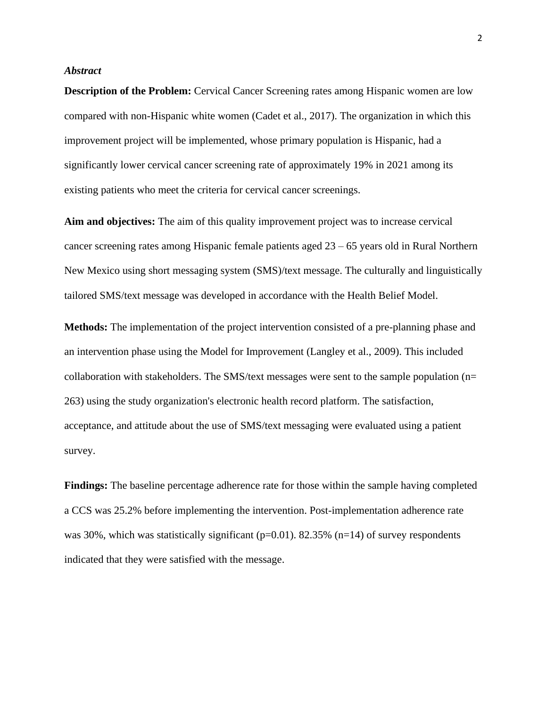#### *Abstract*

**Description of the Problem:** Cervical Cancer Screening rates among Hispanic women are low compared with non-Hispanic white women (Cadet et al., 2017). The organization in which this improvement project will be implemented, whose primary population is Hispanic, had a significantly lower cervical cancer screening rate of approximately 19% in 2021 among its existing patients who meet the criteria for cervical cancer screenings.

**Aim and objectives:** The aim of this quality improvement project was to increase cervical cancer screening rates among Hispanic female patients aged 23 – 65 years old in Rural Northern New Mexico using short messaging system (SMS)/text message. The culturally and linguistically tailored SMS/text message was developed in accordance with the Health Belief Model.

**Methods:** The implementation of the project intervention consisted of a pre-planning phase and an intervention phase using the Model for Improvement (Langley et al., 2009). This included collaboration with stakeholders. The SMS/text messages were sent to the sample population ( $n=$ 263) using the study organization's electronic health record platform. The satisfaction, acceptance, and attitude about the use of SMS/text messaging were evaluated using a patient survey.

**Findings:** The baseline percentage adherence rate for those within the sample having completed a CCS was 25.2% before implementing the intervention. Post-implementation adherence rate was 30%, which was statistically significant ( $p=0.01$ ). 82.35% ( $n=14$ ) of survey respondents indicated that they were satisfied with the message.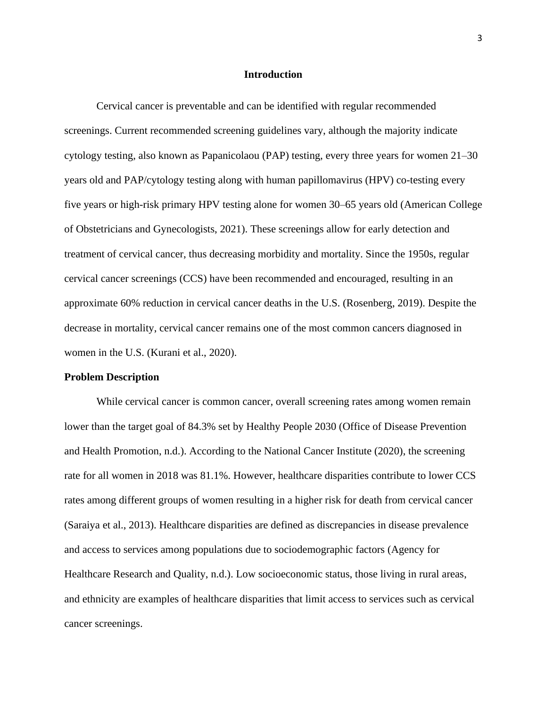#### **Introduction**

Cervical cancer is preventable and can be identified with regular recommended screenings. Current recommended screening guidelines vary, although the majority indicate cytology testing, also known as Papanicolaou (PAP) testing, every three years for women 21–30 years old and PAP/cytology testing along with human papillomavirus (HPV) co-testing every five years or high-risk primary HPV testing alone for women 30–65 years old (American College of Obstetricians and Gynecologists, 2021). These screenings allow for early detection and treatment of cervical cancer, thus decreasing morbidity and mortality. Since the 1950s, regular cervical cancer screenings (CCS) have been recommended and encouraged, resulting in an approximate 60% reduction in cervical cancer deaths in the U.S. (Rosenberg, 2019). Despite the decrease in mortality, cervical cancer remains one of the most common cancers diagnosed in women in the U.S. (Kurani et al., 2020).

#### **Problem Description**

While cervical cancer is common cancer, overall screening rates among women remain lower than the target goal of 84.3% set by Healthy People 2030 (Office of Disease Prevention and Health Promotion, n.d.). According to the National Cancer Institute (2020), the screening rate for all women in 2018 was 81.1%. However, healthcare disparities contribute to lower CCS rates among different groups of women resulting in a higher risk for death from cervical cancer (Saraiya et al., 2013). Healthcare disparities are defined as discrepancies in disease prevalence and access to services among populations due to sociodemographic factors (Agency for Healthcare Research and Quality, n.d.). Low socioeconomic status, those living in rural areas, and ethnicity are examples of healthcare disparities that limit access to services such as cervical cancer screenings.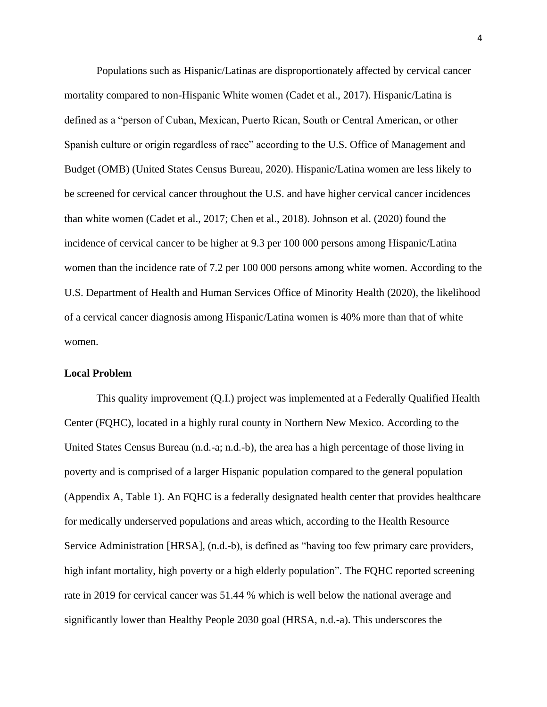Populations such as Hispanic/Latinas are disproportionately affected by cervical cancer mortality compared to non-Hispanic White women (Cadet et al., 2017). Hispanic/Latina is defined as a "person of Cuban, Mexican, Puerto Rican, South or Central American, or other Spanish culture or origin regardless of race" according to the U.S. Office of Management and Budget (OMB) (United States Census Bureau, 2020). Hispanic/Latina women are less likely to be screened for cervical cancer throughout the U.S. and have higher cervical cancer incidences than white women (Cadet et al., 2017; Chen et al., 2018). Johnson et al. (2020) found the incidence of cervical cancer to be higher at 9.3 per 100 000 persons among Hispanic/Latina women than the incidence rate of 7.2 per 100 000 persons among white women. According to the U.S. Department of Health and Human Services Office of Minority Health (2020), the likelihood of a cervical cancer diagnosis among Hispanic/Latina women is 40% more than that of white women.

#### **Local Problem**

This quality improvement (Q.I.) project was implemented at a Federally Qualified Health Center (FQHC), located in a highly rural county in Northern New Mexico. According to the United States Census Bureau (n.d.-a; n.d.-b), the area has a high percentage of those living in poverty and is comprised of a larger Hispanic population compared to the general population (Appendix A, Table 1). An FQHC is a federally designated health center that provides healthcare for medically underserved populations and areas which, according to the Health Resource Service Administration [HRSA], (n.d.-b), is defined as "having too few primary care providers, high infant mortality, high poverty or a high elderly population". The FQHC reported screening rate in 2019 for cervical cancer was 51.44 % which is well below the national average and significantly lower than Healthy People 2030 goal (HRSA, n.d.-a). This underscores the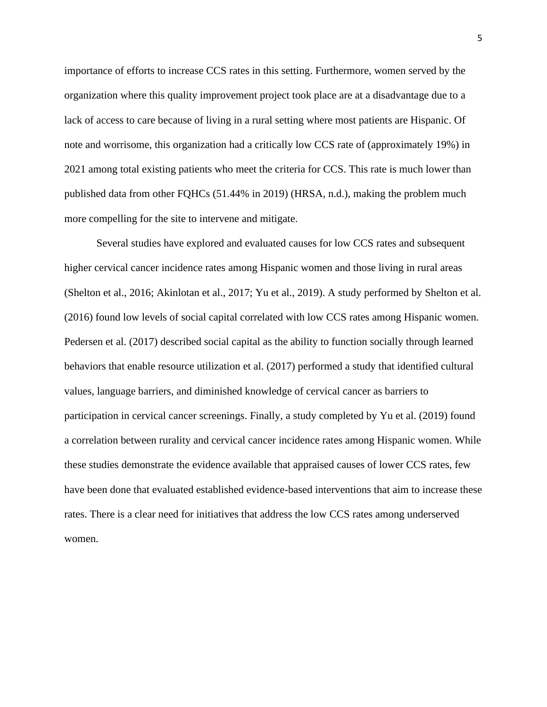importance of efforts to increase CCS rates in this setting. Furthermore, women served by the organization where this quality improvement project took place are at a disadvantage due to a lack of access to care because of living in a rural setting where most patients are Hispanic. Of note and worrisome, this organization had a critically low CCS rate of (approximately 19%) in 2021 among total existing patients who meet the criteria for CCS. This rate is much lower than published data from other FQHCs (51.44% in 2019) (HRSA, n.d.), making the problem much more compelling for the site to intervene and mitigate.

Several studies have explored and evaluated causes for low CCS rates and subsequent higher cervical cancer incidence rates among Hispanic women and those living in rural areas (Shelton et al., 2016; Akinlotan et al., 2017; Yu et al., 2019). A study performed by Shelton et al. (2016) found low levels of social capital correlated with low CCS rates among Hispanic women. Pedersen et al. (2017) described social capital as the ability to function socially through learned behaviors that enable resource utilization et al. (2017) performed a study that identified cultural values, language barriers, and diminished knowledge of cervical cancer as barriers to participation in cervical cancer screenings. Finally, a study completed by Yu et al. (2019) found a correlation between rurality and cervical cancer incidence rates among Hispanic women. While these studies demonstrate the evidence available that appraised causes of lower CCS rates, few have been done that evaluated established evidence-based interventions that aim to increase these rates. There is a clear need for initiatives that address the low CCS rates among underserved women.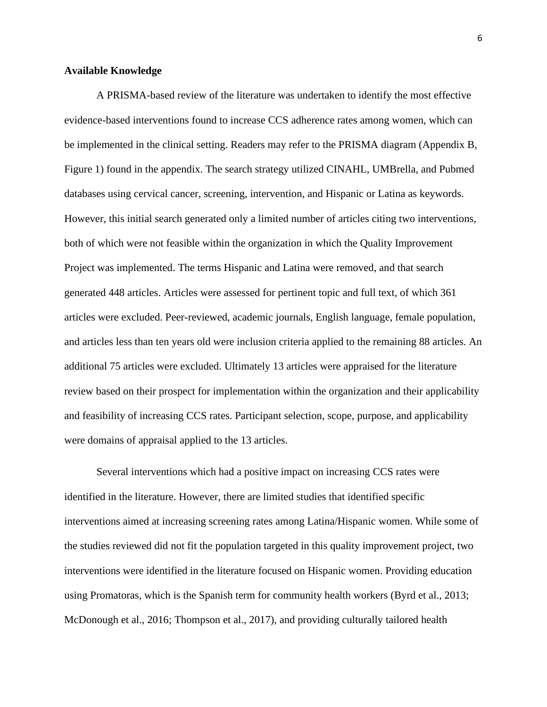#### **Available Knowledge**

A PRISMA-based review of the literature was undertaken to identify the most effective evidence-based interventions found to increase CCS adherence rates among women, which can be implemented in the clinical setting. Readers may refer to the PRISMA diagram (Appendix B, Figure 1) found in the appendix. The search strategy utilized CINAHL, UMBrella, and Pubmed databases using cervical cancer, screening, intervention, and Hispanic or Latina as keywords. However, this initial search generated only a limited number of articles citing two interventions, both of which were not feasible within the organization in which the Quality Improvement Project was implemented. The terms Hispanic and Latina were removed, and that search generated 448 articles. Articles were assessed for pertinent topic and full text, of which 361 articles were excluded. Peer-reviewed, academic journals, English language, female population, and articles less than ten years old were inclusion criteria applied to the remaining 88 articles. An additional 75 articles were excluded. Ultimately 13 articles were appraised for the literature review based on their prospect for implementation within the organization and their applicability and feasibility of increasing CCS rates. Participant selection, scope, purpose, and applicability were domains of appraisal applied to the 13 articles.

Several interventions which had a positive impact on increasing CCS rates were identified in the literature. However, there are limited studies that identified specific interventions aimed at increasing screening rates among Latina/Hispanic women. While some of the studies reviewed did not fit the population targeted in this quality improvement project, two interventions were identified in the literature focused on Hispanic women. Providing education using Promatoras, which is the Spanish term for community health workers (Byrd et al., 2013; McDonough et al., 2016; Thompson et al., 2017), and providing culturally tailored health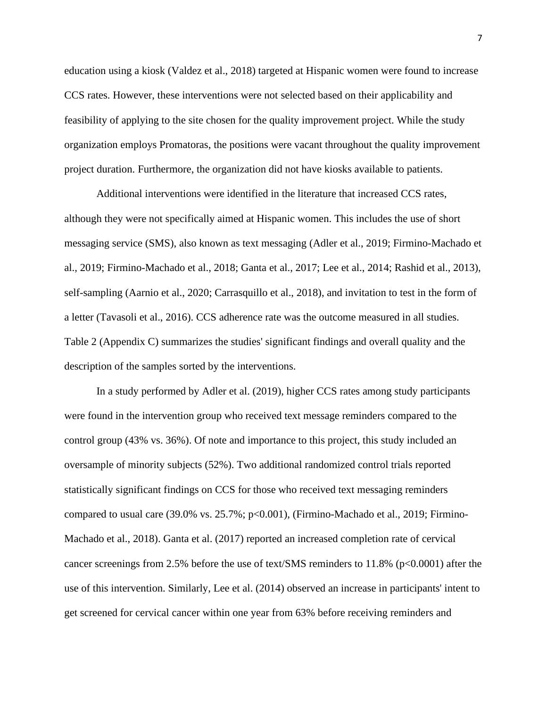education using a kiosk (Valdez et al., 2018) targeted at Hispanic women were found to increase CCS rates. However, these interventions were not selected based on their applicability and feasibility of applying to the site chosen for the quality improvement project. While the study organization employs Promatoras, the positions were vacant throughout the quality improvement project duration. Furthermore, the organization did not have kiosks available to patients.

Additional interventions were identified in the literature that increased CCS rates, although they were not specifically aimed at Hispanic women. This includes the use of short messaging service (SMS), also known as text messaging (Adler et al., 2019; Firmino-Machado et al., 2019; Firmino-Machado et al., 2018; Ganta et al., 2017; Lee et al., 2014; Rashid et al., 2013), self-sampling (Aarnio et al., 2020; Carrasquillo et al., 2018), and invitation to test in the form of a letter (Tavasoli et al., 2016). CCS adherence rate was the outcome measured in all studies. Table 2 (Appendix C) summarizes the studies' significant findings and overall quality and the description of the samples sorted by the interventions.

In a study performed by Adler et al. (2019), higher CCS rates among study participants were found in the intervention group who received text message reminders compared to the control group (43% vs. 36%). Of note and importance to this project, this study included an oversample of minority subjects (52%). Two additional randomized control trials reported statistically significant findings on CCS for those who received text messaging reminders compared to usual care (39.0% vs. 25.7%; p<0.001), (Firmino-Machado et al., 2019; Firmino-Machado et al., 2018). Ganta et al. (2017) reported an increased completion rate of cervical cancer screenings from 2.5% before the use of text/SMS reminders to 11.8% (p<0.0001) after the use of this intervention. Similarly, Lee et al. (2014) observed an increase in participants' intent to get screened for cervical cancer within one year from 63% before receiving reminders and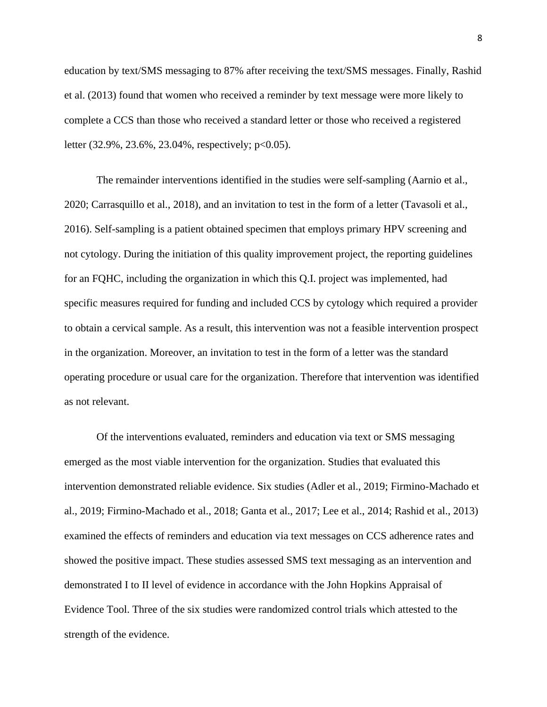education by text/SMS messaging to 87% after receiving the text/SMS messages. Finally, Rashid et al. (2013) found that women who received a reminder by text message were more likely to complete a CCS than those who received a standard letter or those who received a registered letter (32.9%, 23.6%, 23.04%, respectively; p<0.05).

The remainder interventions identified in the studies were self-sampling (Aarnio et al., 2020; Carrasquillo et al., 2018), and an invitation to test in the form of a letter (Tavasoli et al., 2016). Self-sampling is a patient obtained specimen that employs primary HPV screening and not cytology. During the initiation of this quality improvement project, the reporting guidelines for an FQHC, including the organization in which this Q.I. project was implemented, had specific measures required for funding and included CCS by cytology which required a provider to obtain a cervical sample. As a result, this intervention was not a feasible intervention prospect in the organization. Moreover, an invitation to test in the form of a letter was the standard operating procedure or usual care for the organization. Therefore that intervention was identified as not relevant.

Of the interventions evaluated, reminders and education via text or SMS messaging emerged as the most viable intervention for the organization. Studies that evaluated this intervention demonstrated reliable evidence. Six studies (Adler et al., 2019; Firmino-Machado et al., 2019; Firmino-Machado et al., 2018; Ganta et al., 2017; Lee et al., 2014; Rashid et al., 2013) examined the effects of reminders and education via text messages on CCS adherence rates and showed the positive impact. These studies assessed SMS text messaging as an intervention and demonstrated I to II level of evidence in accordance with the John Hopkins Appraisal of Evidence Tool. Three of the six studies were randomized control trials which attested to the strength of the evidence.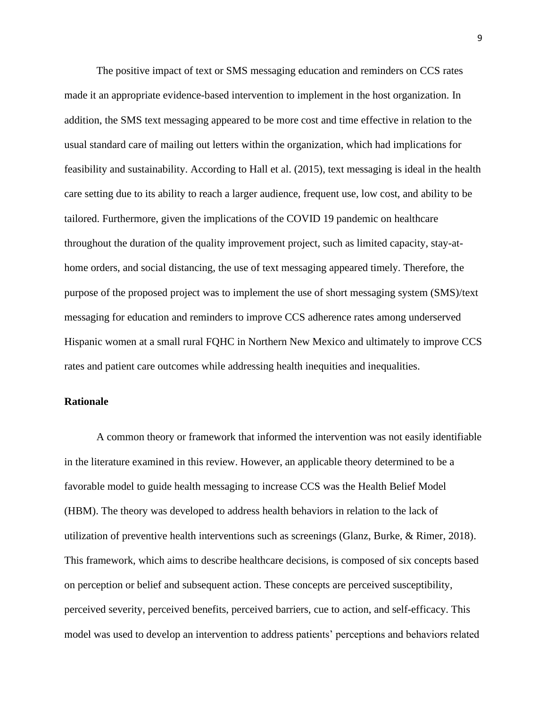The positive impact of text or SMS messaging education and reminders on CCS rates made it an appropriate evidence-based intervention to implement in the host organization. In addition, the SMS text messaging appeared to be more cost and time effective in relation to the usual standard care of mailing out letters within the organization, which had implications for feasibility and sustainability. According to Hall et al. (2015), text messaging is ideal in the health care setting due to its ability to reach a larger audience, frequent use, low cost, and ability to be tailored. Furthermore, given the implications of the COVID 19 pandemic on healthcare throughout the duration of the quality improvement project, such as limited capacity, stay-athome orders, and social distancing, the use of text messaging appeared timely. Therefore, the purpose of the proposed project was to implement the use of short messaging system (SMS)/text messaging for education and reminders to improve CCS adherence rates among underserved Hispanic women at a small rural FQHC in Northern New Mexico and ultimately to improve CCS rates and patient care outcomes while addressing health inequities and inequalities.

#### **Rationale**

A common theory or framework that informed the intervention was not easily identifiable in the literature examined in this review. However, an applicable theory determined to be a favorable model to guide health messaging to increase CCS was the Health Belief Model (HBM). The theory was developed to address health behaviors in relation to the lack of utilization of preventive health interventions such as screenings (Glanz, Burke, & Rimer, 2018). This framework, which aims to describe healthcare decisions, is composed of six concepts based on perception or belief and subsequent action. These concepts are perceived susceptibility, perceived severity, perceived benefits, perceived barriers, cue to action, and self-efficacy. This model was used to develop an intervention to address patients' perceptions and behaviors related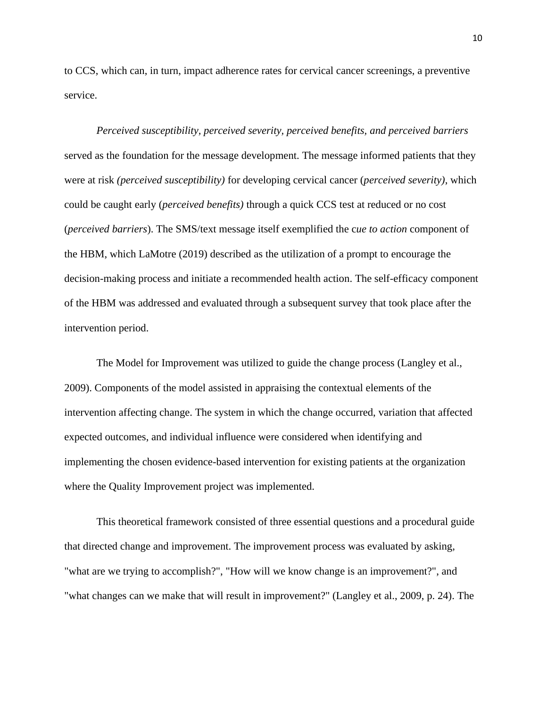to CCS, which can, in turn, impact adherence rates for cervical cancer screenings, a preventive service.

*Perceived susceptibility, perceived severity, perceived benefits, and perceived barriers* served as the foundation for the message development. The message informed patients that they were at risk *(perceived susceptibility)* for developing cervical cancer (*perceived severity)*, which could be caught early (*perceived benefits)* through a quick CCS test at reduced or no cost (*perceived barriers*). The SMS/text message itself exemplified the c*ue to action* component of the HBM, which LaMotre (2019) described as the utilization of a prompt to encourage the decision-making process and initiate a recommended health action. The self-efficacy component of the HBM was addressed and evaluated through a subsequent survey that took place after the intervention period.

The Model for Improvement was utilized to guide the change process (Langley et al., 2009). Components of the model assisted in appraising the contextual elements of the intervention affecting change. The system in which the change occurred, variation that affected expected outcomes, and individual influence were considered when identifying and implementing the chosen evidence-based intervention for existing patients at the organization where the Quality Improvement project was implemented.

This theoretical framework consisted of three essential questions and a procedural guide that directed change and improvement. The improvement process was evaluated by asking, "what are we trying to accomplish?", "How will we know change is an improvement?", and "what changes can we make that will result in improvement?" (Langley et al., 2009, p. 24). The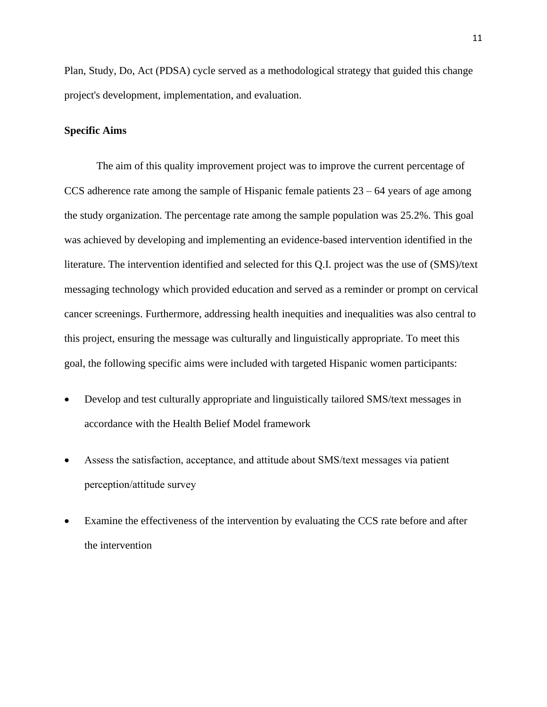Plan, Study, Do, Act (PDSA) cycle served as a methodological strategy that guided this change project's development, implementation, and evaluation.

#### **Specific Aims**

The aim of this quality improvement project was to improve the current percentage of CCS adherence rate among the sample of Hispanic female patients  $23 - 64$  years of age among the study organization. The percentage rate among the sample population was 25.2%. This goal was achieved by developing and implementing an evidence-based intervention identified in the literature. The intervention identified and selected for this Q.I. project was the use of (SMS)/text messaging technology which provided education and served as a reminder or prompt on cervical cancer screenings. Furthermore, addressing health inequities and inequalities was also central to this project, ensuring the message was culturally and linguistically appropriate. To meet this goal, the following specific aims were included with targeted Hispanic women participants:

- Develop and test culturally appropriate and linguistically tailored SMS/text messages in accordance with the Health Belief Model framework
- Assess the satisfaction, acceptance, and attitude about SMS/text messages via patient perception/attitude survey
- Examine the effectiveness of the intervention by evaluating the CCS rate before and after the intervention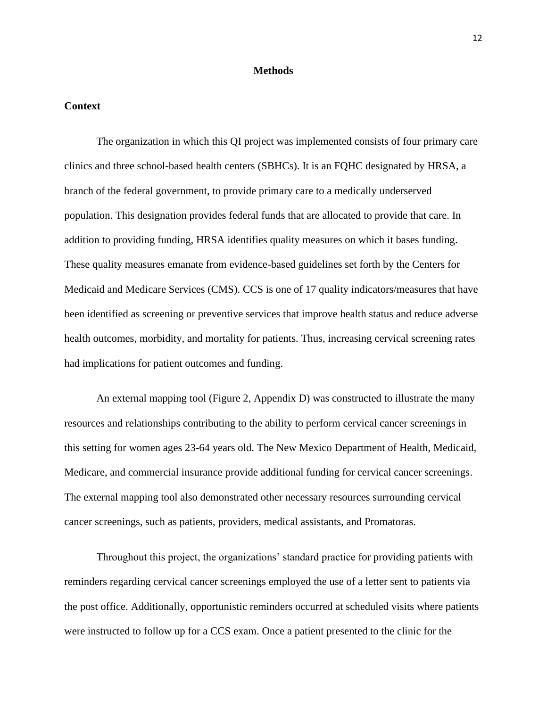#### **Methods**

#### **Context**

The organization in which this QI project was implemented consists of four primary care clinics and three school-based health centers (SBHCs). It is an FQHC designated by HRSA, a branch of the federal government, to provide primary care to a medically underserved population. This designation provides federal funds that are allocated to provide that care. In addition to providing funding, HRSA identifies quality measures on which it bases funding. These quality measures emanate from evidence-based guidelines set forth by the Centers for Medicaid and Medicare Services (CMS). CCS is one of 17 quality indicators/measures that have been identified as screening or preventive services that improve health status and reduce adverse health outcomes, morbidity, and mortality for patients. Thus, increasing cervical screening rates had implications for patient outcomes and funding.

An external mapping tool (Figure 2, Appendix D) was constructed to illustrate the many resources and relationships contributing to the ability to perform cervical cancer screenings in this setting for women ages 23-64 years old. The New Mexico Department of Health, Medicaid, Medicare, and commercial insurance provide additional funding for cervical cancer screenings. The external mapping tool also demonstrated other necessary resources surrounding cervical cancer screenings, such as patients, providers, medical assistants, and Promatoras.

Throughout this project, the organizations' standard practice for providing patients with reminders regarding cervical cancer screenings employed the use of a letter sent to patients via the post office. Additionally, opportunistic reminders occurred at scheduled visits where patients were instructed to follow up for a CCS exam. Once a patient presented to the clinic for the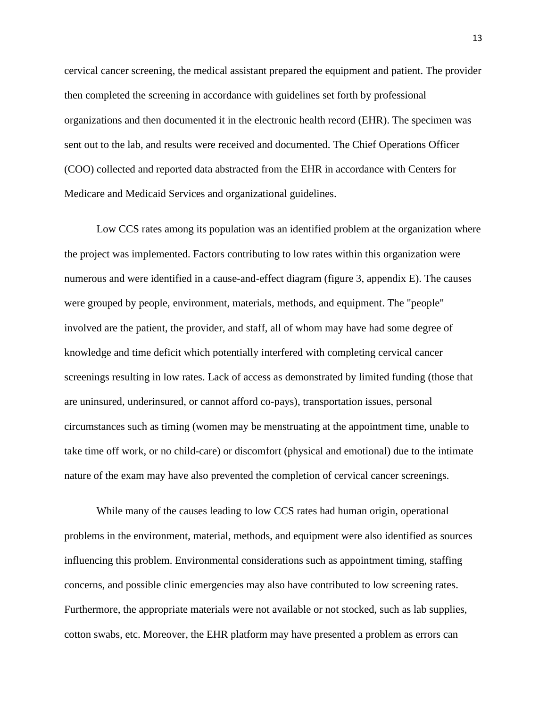cervical cancer screening, the medical assistant prepared the equipment and patient. The provider then completed the screening in accordance with guidelines set forth by professional organizations and then documented it in the electronic health record (EHR). The specimen was sent out to the lab, and results were received and documented. The Chief Operations Officer (COO) collected and reported data abstracted from the EHR in accordance with Centers for Medicare and Medicaid Services and organizational guidelines.

Low CCS rates among its population was an identified problem at the organization where the project was implemented. Factors contributing to low rates within this organization were numerous and were identified in a cause-and-effect diagram (figure 3, appendix E). The causes were grouped by people, environment, materials, methods, and equipment. The "people" involved are the patient, the provider, and staff, all of whom may have had some degree of knowledge and time deficit which potentially interfered with completing cervical cancer screenings resulting in low rates. Lack of access as demonstrated by limited funding (those that are uninsured, underinsured, or cannot afford co-pays), transportation issues, personal circumstances such as timing (women may be menstruating at the appointment time, unable to take time off work, or no child-care) or discomfort (physical and emotional) due to the intimate nature of the exam may have also prevented the completion of cervical cancer screenings.

While many of the causes leading to low CCS rates had human origin, operational problems in the environment, material, methods, and equipment were also identified as sources influencing this problem. Environmental considerations such as appointment timing, staffing concerns, and possible clinic emergencies may also have contributed to low screening rates. Furthermore, the appropriate materials were not available or not stocked, such as lab supplies, cotton swabs, etc. Moreover, the EHR platform may have presented a problem as errors can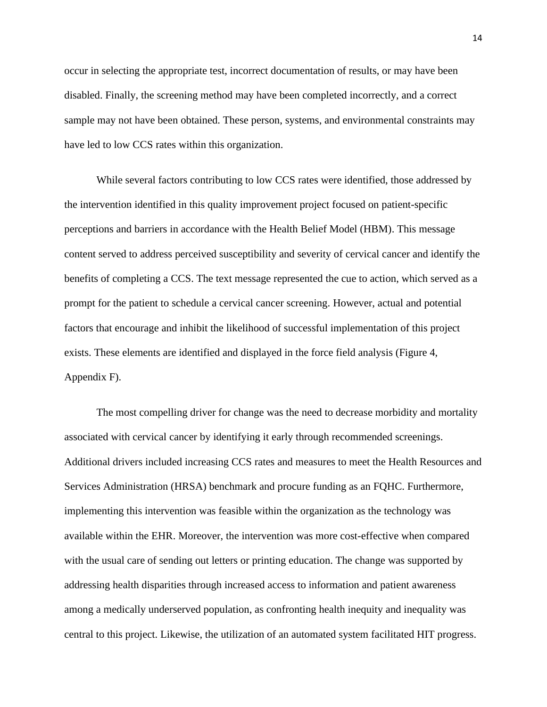occur in selecting the appropriate test, incorrect documentation of results, or may have been disabled. Finally, the screening method may have been completed incorrectly, and a correct sample may not have been obtained. These person, systems, and environmental constraints may have led to low CCS rates within this organization.

While several factors contributing to low CCS rates were identified, those addressed by the intervention identified in this quality improvement project focused on patient-specific perceptions and barriers in accordance with the Health Belief Model (HBM). This message content served to address perceived susceptibility and severity of cervical cancer and identify the benefits of completing a CCS. The text message represented the cue to action, which served as a prompt for the patient to schedule a cervical cancer screening. However, actual and potential factors that encourage and inhibit the likelihood of successful implementation of this project exists. These elements are identified and displayed in the force field analysis (Figure 4, Appendix F).

The most compelling driver for change was the need to decrease morbidity and mortality associated with cervical cancer by identifying it early through recommended screenings. Additional drivers included increasing CCS rates and measures to meet the Health Resources and Services Administration (HRSA) benchmark and procure funding as an FQHC. Furthermore, implementing this intervention was feasible within the organization as the technology was available within the EHR. Moreover, the intervention was more cost-effective when compared with the usual care of sending out letters or printing education. The change was supported by addressing health disparities through increased access to information and patient awareness among a medically underserved population, as confronting health inequity and inequality was central to this project. Likewise, the utilization of an automated system facilitated HIT progress.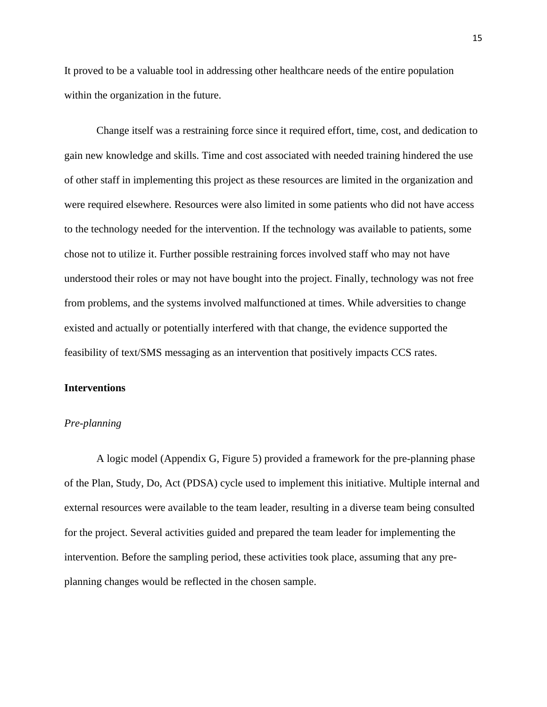It proved to be a valuable tool in addressing other healthcare needs of the entire population within the organization in the future.

Change itself was a restraining force since it required effort, time, cost, and dedication to gain new knowledge and skills. Time and cost associated with needed training hindered the use of other staff in implementing this project as these resources are limited in the organization and were required elsewhere. Resources were also limited in some patients who did not have access to the technology needed for the intervention. If the technology was available to patients, some chose not to utilize it. Further possible restraining forces involved staff who may not have understood their roles or may not have bought into the project. Finally, technology was not free from problems, and the systems involved malfunctioned at times. While adversities to change existed and actually or potentially interfered with that change, the evidence supported the feasibility of text/SMS messaging as an intervention that positively impacts CCS rates.

#### **Interventions**

#### *Pre-planning*

A logic model (Appendix G, Figure 5) provided a framework for the pre-planning phase of the Plan, Study, Do, Act (PDSA) cycle used to implement this initiative. Multiple internal and external resources were available to the team leader, resulting in a diverse team being consulted for the project. Several activities guided and prepared the team leader for implementing the intervention. Before the sampling period, these activities took place, assuming that any preplanning changes would be reflected in the chosen sample.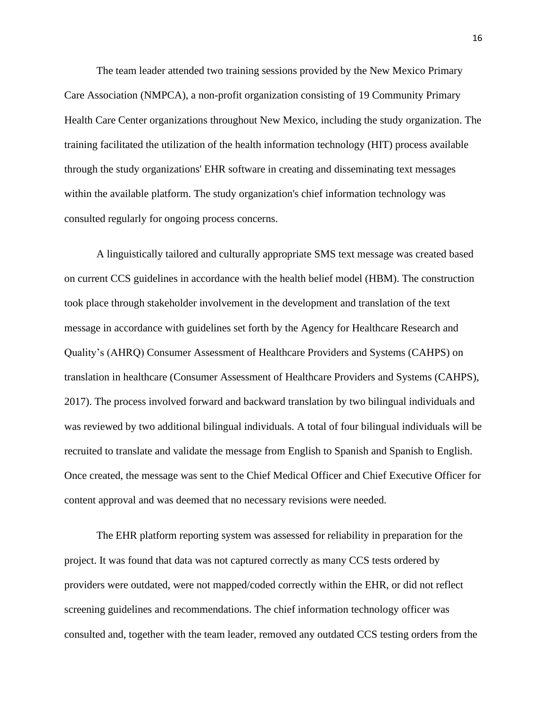The team leader attended two training sessions provided by the New Mexico Primary Care Association (NMPCA), a non-profit organization consisting of 19 Community Primary Health Care Center organizations throughout New Mexico, including the study organization. The training facilitated the utilization of the health information technology (HIT) process available through the study organizations' EHR software in creating and disseminating text messages within the available platform. The study organization's chief information technology was consulted regularly for ongoing process concerns.

A linguistically tailored and culturally appropriate SMS text message was created based on current CCS guidelines in accordance with the health belief model (HBM). The construction took place through stakeholder involvement in the development and translation of the text message in accordance with guidelines set forth by the Agency for Healthcare Research and Quality's (AHRQ) Consumer Assessment of Healthcare Providers and Systems (CAHPS) on translation in healthcare (Consumer Assessment of Healthcare Providers and Systems (CAHPS), 2017). The process involved forward and backward translation by two bilingual individuals and was reviewed by two additional bilingual individuals. A total of four bilingual individuals will be recruited to translate and validate the message from English to Spanish and Spanish to English. Once created, the message was sent to the Chief Medical Officer and Chief Executive Officer for content approval and was deemed that no necessary revisions were needed.

The EHR platform reporting system was assessed for reliability in preparation for the project. It was found that data was not captured correctly as many CCS tests ordered by providers were outdated, were not mapped/coded correctly within the EHR, or did not reflect screening guidelines and recommendations. The chief information technology officer was consulted and, together with the team leader, removed any outdated CCS testing orders from the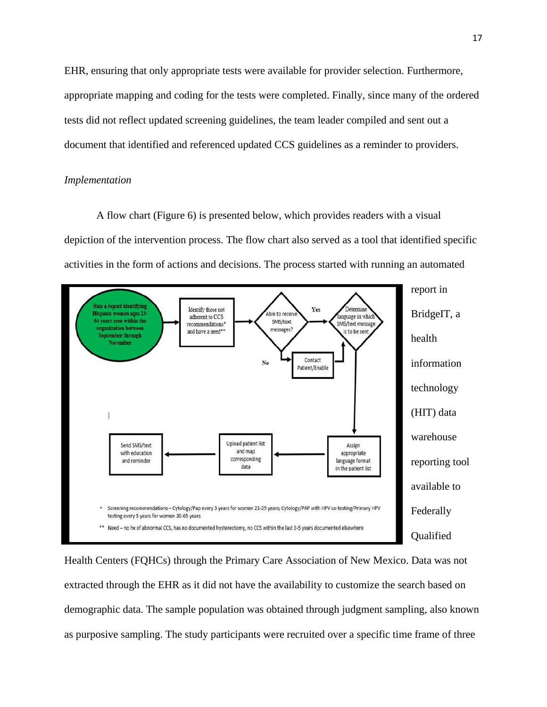EHR, ensuring that only appropriate tests were available for provider selection. Furthermore, appropriate mapping and coding for the tests were completed. Finally, since many of the ordered tests did not reflect updated screening guidelines, the team leader compiled and sent out a document that identified and referenced updated CCS guidelines as a reminder to providers.

#### *Implementation*

A flow chart (Figure 6) is presented below, which provides readers with a visual depiction of the intervention process. The flow chart also served as a tool that identified specific activities in the form of actions and decisions. The process started with running an automated



Health Centers (FQHCs) through the Primary Care Association of New Mexico. Data was not extracted through the EHR as it did not have the availability to customize the search based on demographic data. The sample population was obtained through judgment sampling, also known as purposive sampling. The study participants were recruited over a specific time frame of three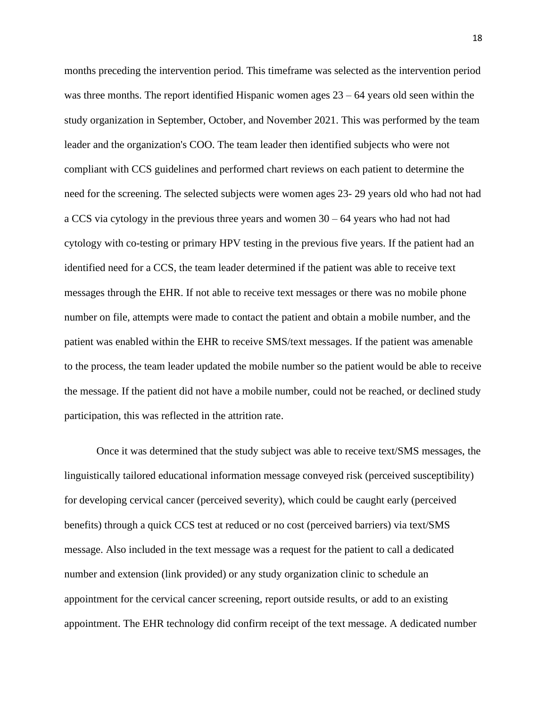months preceding the intervention period. This timeframe was selected as the intervention period was three months. The report identified Hispanic women ages  $23 - 64$  years old seen within the study organization in September, October, and November 2021. This was performed by the team leader and the organization's COO. The team leader then identified subjects who were not compliant with CCS guidelines and performed chart reviews on each patient to determine the need for the screening. The selected subjects were women ages 23- 29 years old who had not had a CCS via cytology in the previous three years and women 30 – 64 years who had not had cytology with co-testing or primary HPV testing in the previous five years. If the patient had an identified need for a CCS, the team leader determined if the patient was able to receive text messages through the EHR. If not able to receive text messages or there was no mobile phone number on file, attempts were made to contact the patient and obtain a mobile number, and the patient was enabled within the EHR to receive SMS/text messages. If the patient was amenable to the process, the team leader updated the mobile number so the patient would be able to receive the message. If the patient did not have a mobile number, could not be reached, or declined study participation, this was reflected in the attrition rate.

Once it was determined that the study subject was able to receive text/SMS messages, the linguistically tailored educational information message conveyed risk (perceived susceptibility) for developing cervical cancer (perceived severity), which could be caught early (perceived benefits) through a quick CCS test at reduced or no cost (perceived barriers) via text/SMS message. Also included in the text message was a request for the patient to call a dedicated number and extension (link provided) or any study organization clinic to schedule an appointment for the cervical cancer screening, report outside results, or add to an existing appointment. The EHR technology did confirm receipt of the text message. A dedicated number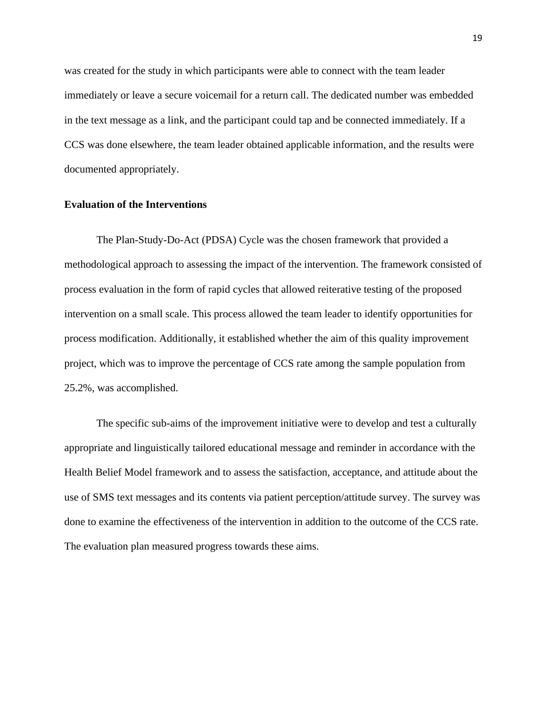was created for the study in which participants were able to connect with the team leader immediately or leave a secure voicemail for a return call. The dedicated number was embedded in the text message as a link, and the participant could tap and be connected immediately. If a CCS was done elsewhere, the team leader obtained applicable information, and the results were documented appropriately.

#### **Evaluation of the Interventions**

The Plan-Study-Do-Act (PDSA) Cycle was the chosen framework that provided a methodological approach to assessing the impact of the intervention. The framework consisted of process evaluation in the form of rapid cycles that allowed reiterative testing of the proposed intervention on a small scale. This process allowed the team leader to identify opportunities for process modification. Additionally, it established whether the aim of this quality improvement project, which was to improve the percentage of CCS rate among the sample population from 25.2%, was accomplished.

The specific sub-aims of the improvement initiative were to develop and test a culturally appropriate and linguistically tailored educational message and reminder in accordance with the Health Belief Model framework and to assess the satisfaction, acceptance, and attitude about the use of SMS text messages and its contents via patient perception/attitude survey. The survey was done to examine the effectiveness of the intervention in addition to the outcome of the CCS rate. The evaluation plan measured progress towards these aims.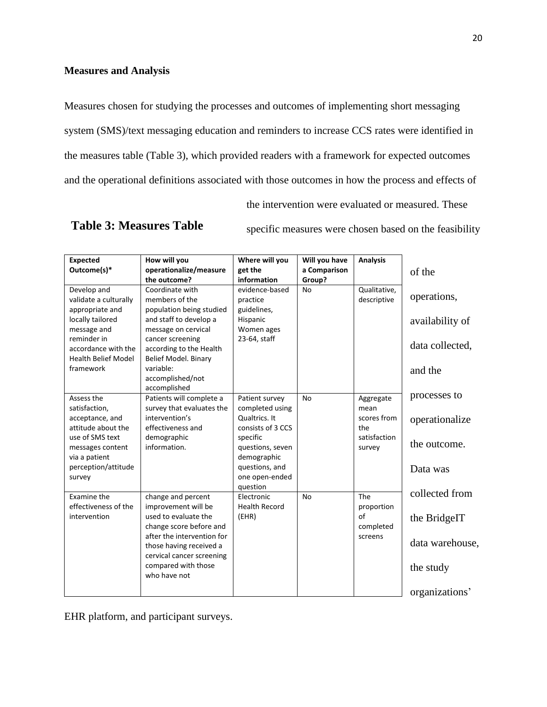## **Measures and Analysis**

Measures chosen for studying the processes and outcomes of implementing short messaging system (SMS)/text messaging education and reminders to increase CCS rates were identified in the measures table (Table 3), which provided readers with a framework for expected outcomes and the operational definitions associated with those outcomes in how the process and effects of

the intervention were evaluated or measured. These

## **Table 3: Measures Table**

specific measures were chosen based on the feasibility

| <b>Expected</b><br>Outcome(s)*                                                                                                                                              | How will you<br>operationalize/measure<br>the outcome?                                                                                                                                                                                 | Where will you<br>get the<br>information                                                                                                                               | Will you have<br>a Comparison<br>Group? | <b>Analysis</b>                                                   | of the                                                                           |
|-----------------------------------------------------------------------------------------------------------------------------------------------------------------------------|----------------------------------------------------------------------------------------------------------------------------------------------------------------------------------------------------------------------------------------|------------------------------------------------------------------------------------------------------------------------------------------------------------------------|-----------------------------------------|-------------------------------------------------------------------|----------------------------------------------------------------------------------|
| Develop and<br>validate a culturally<br>appropriate and<br>locally tailored<br>message and<br>reminder in<br>accordance with the<br><b>Health Belief Model</b><br>framework | Coordinate with<br>members of the<br>population being studied<br>and staff to develop a<br>message on cervical<br>cancer screening<br>according to the Health<br>Belief Model. Binary<br>variable:<br>accomplished/not<br>accomplished | evidence-based<br>practice<br>guidelines,<br>Hispanic<br>Women ages<br>23-64, staff                                                                                    | No                                      | Qualitative,<br>descriptive                                       | operations,<br>availability of<br>data collected,<br>and the                     |
| Assess the<br>satisfaction,<br>acceptance, and<br>attitude about the<br>use of SMS text<br>messages content<br>via a patient<br>perception/attitude<br>survey               | Patients will complete a<br>survey that evaluates the<br>intervention's<br>effectiveness and<br>demographic<br>information.                                                                                                            | Patient survey<br>completed using<br>Qualtrics. It<br>consists of 3 CCS<br>specific<br>questions, seven<br>demographic<br>questions, and<br>one open-ended<br>question | No                                      | Aggregate<br>mean<br>scores from<br>the<br>satisfaction<br>survey | processes to<br>operationalize<br>the outcome.<br>Data was                       |
| Examine the<br>effectiveness of the<br>intervention                                                                                                                         | change and percent<br>improvement will be<br>used to evaluate the<br>change score before and<br>after the intervention for<br>those having received a<br>cervical cancer screening<br>compared with those<br>who have not              | Electronic<br><b>Health Record</b><br>(EHR)                                                                                                                            | <b>No</b>                               | The<br>proportion<br>of<br>completed<br>screens                   | collected from<br>the BridgeIT<br>data warehouse,<br>the study<br>organizations' |

EHR platform, and participant surveys.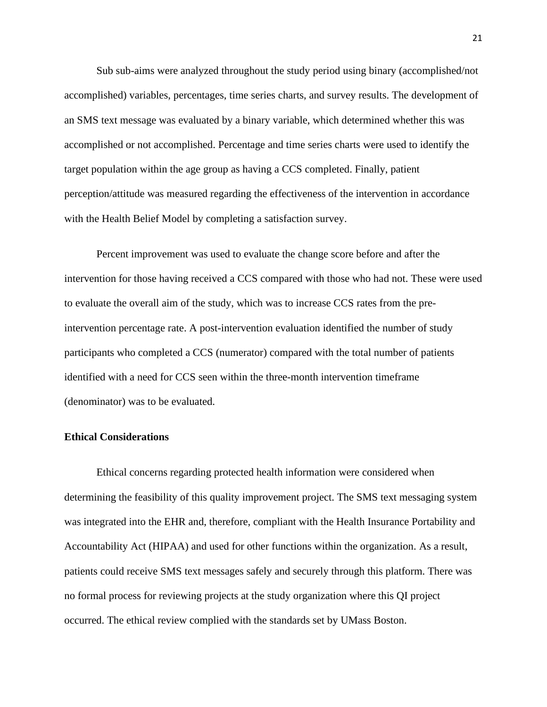Sub sub-aims were analyzed throughout the study period using binary (accomplished/not accomplished) variables, percentages, time series charts, and survey results. The development of an SMS text message was evaluated by a binary variable, which determined whether this was accomplished or not accomplished. Percentage and time series charts were used to identify the target population within the age group as having a CCS completed. Finally, patient perception/attitude was measured regarding the effectiveness of the intervention in accordance with the Health Belief Model by completing a satisfaction survey.

Percent improvement was used to evaluate the change score before and after the intervention for those having received a CCS compared with those who had not. These were used to evaluate the overall aim of the study, which was to increase CCS rates from the preintervention percentage rate. A post-intervention evaluation identified the number of study participants who completed a CCS (numerator) compared with the total number of patients identified with a need for CCS seen within the three-month intervention timeframe (denominator) was to be evaluated.

#### **Ethical Considerations**

Ethical concerns regarding protected health information were considered when determining the feasibility of this quality improvement project. The SMS text messaging system was integrated into the EHR and, therefore, compliant with the Health Insurance Portability and Accountability Act (HIPAA) and used for other functions within the organization. As a result, patients could receive SMS text messages safely and securely through this platform. There was no formal process for reviewing projects at the study organization where this QI project occurred. The ethical review complied with the standards set by UMass Boston.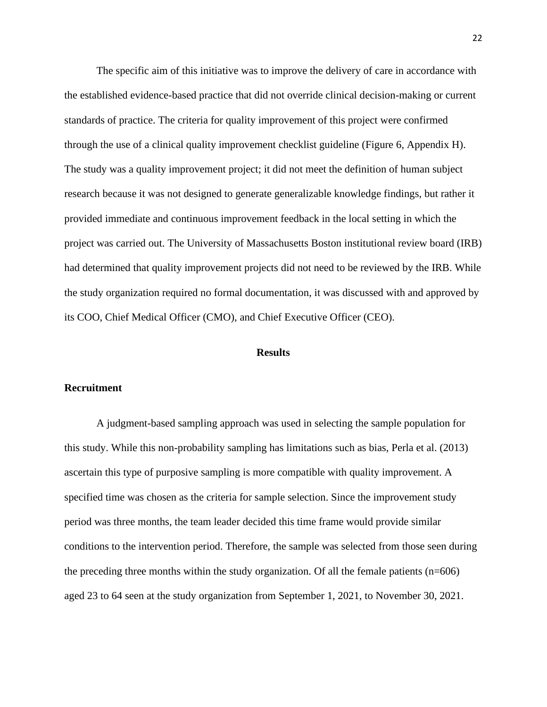The specific aim of this initiative was to improve the delivery of care in accordance with the established evidence-based practice that did not override clinical decision-making or current standards of practice. The criteria for quality improvement of this project were confirmed through the use of a clinical quality improvement checklist guideline (Figure 6, Appendix H). The study was a quality improvement project; it did not meet the definition of human subject research because it was not designed to generate generalizable knowledge findings, but rather it provided immediate and continuous improvement feedback in the local setting in which the project was carried out. The University of Massachusetts Boston institutional review board (IRB) had determined that quality improvement projects did not need to be reviewed by the IRB. While the study organization required no formal documentation, it was discussed with and approved by its COO, Chief Medical Officer (CMO), and Chief Executive Officer (CEO).

#### **Results**

#### **Recruitment**

A judgment-based sampling approach was used in selecting the sample population for this study. While this non-probability sampling has limitations such as bias, Perla et al. (2013) ascertain this type of purposive sampling is more compatible with quality improvement. A specified time was chosen as the criteria for sample selection. Since the improvement study period was three months, the team leader decided this time frame would provide similar conditions to the intervention period. Therefore, the sample was selected from those seen during the preceding three months within the study organization. Of all the female patients (n=606) aged 23 to 64 seen at the study organization from September 1, 2021, to November 30, 2021.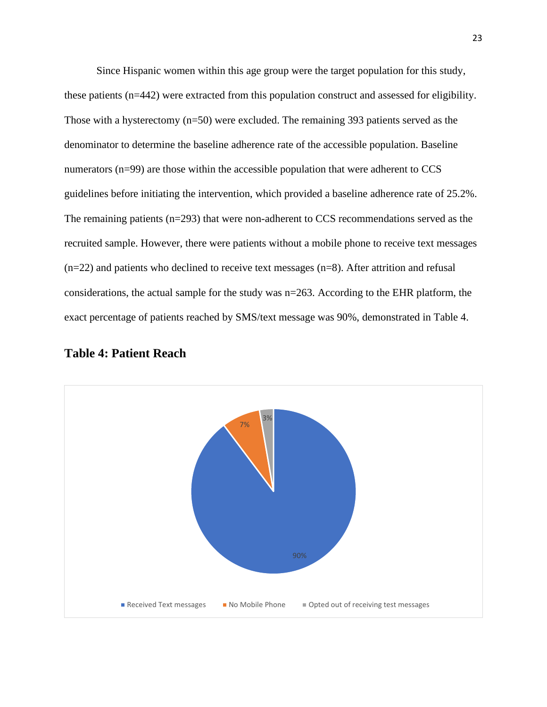Since Hispanic women within this age group were the target population for this study, these patients (n=442) were extracted from this population construct and assessed for eligibility. Those with a hysterectomy (n=50) were excluded. The remaining 393 patients served as the denominator to determine the baseline adherence rate of the accessible population. Baseline numerators  $(n=99)$  are those within the accessible population that were adherent to CCS guidelines before initiating the intervention, which provided a baseline adherence rate of 25.2%. The remaining patients  $(n=293)$  that were non-adherent to CCS recommendations served as the recruited sample. However, there were patients without a mobile phone to receive text messages (n=22) and patients who declined to receive text messages (n=8). After attrition and refusal considerations, the actual sample for the study was n=263. According to the EHR platform, the exact percentage of patients reached by SMS/text message was 90%, demonstrated in Table 4.



#### **Table 4: Patient Reach**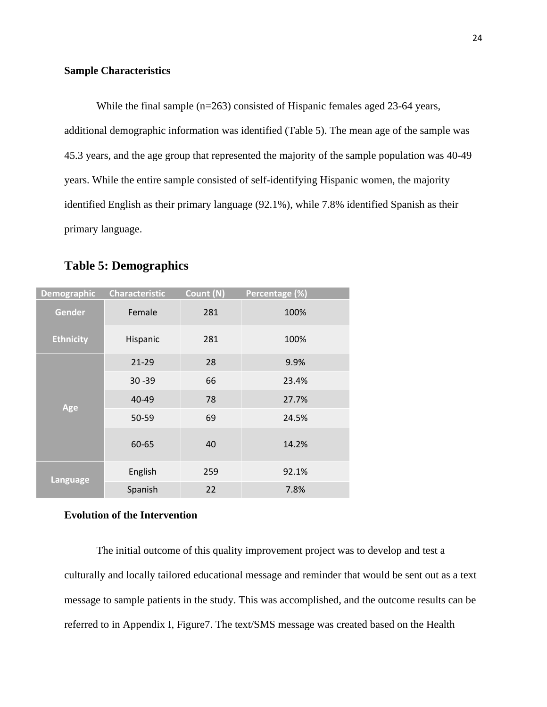#### **Sample Characteristics**

While the final sample (n=263) consisted of Hispanic females aged 23-64 years, additional demographic information was identified (Table 5). The mean age of the sample was 45.3 years, and the age group that represented the majority of the sample population was 40-49 years. While the entire sample consisted of self-identifying Hispanic women, the majority identified English as their primary language (92.1%), while 7.8% identified Spanish as their primary language.

## **Table 5: Demographics**

| <b>Demographic</b> | <b>Characteristic</b> | Count (N) | Percentage (%) |
|--------------------|-----------------------|-----------|----------------|
| Gender             | Female                | 281       | 100%           |
| <b>Ethnicity</b>   | Hispanic              | 281       | 100%           |
|                    | $21-29$               | 28        | 9.9%           |
|                    | $30 - 39$             | 66        | 23.4%          |
| Age                | 40-49                 | 78        | 27.7%          |
|                    | 50-59                 | 69        | 24.5%          |
|                    | 60-65                 | 40        | 14.2%          |
|                    | English               | 259       | 92.1%          |
| Language           | Spanish               | 22        | 7.8%           |

#### **Evolution of the Intervention**

The initial outcome of this quality improvement project was to develop and test a culturally and locally tailored educational message and reminder that would be sent out as a text message to sample patients in the study. This was accomplished, and the outcome results can be referred to in Appendix I, Figure7. The text/SMS message was created based on the Health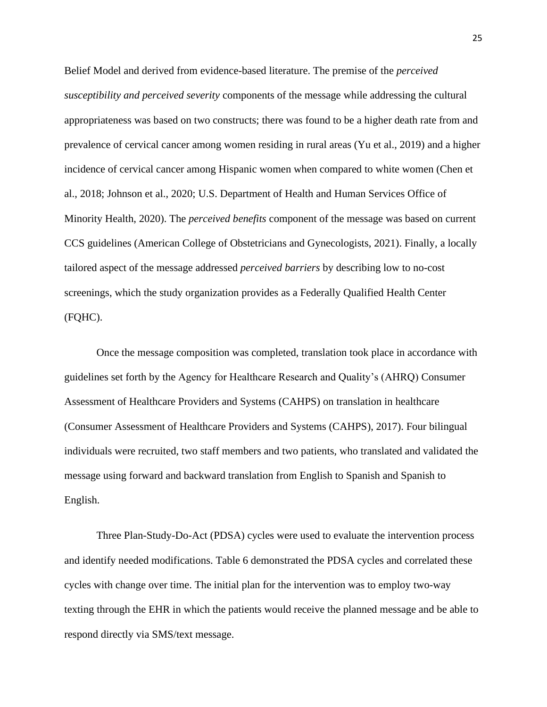Belief Model and derived from evidence-based literature. The premise of the *perceived susceptibility and perceived severity* components of the message while addressing the cultural appropriateness was based on two constructs; there was found to be a higher death rate from and prevalence of cervical cancer among women residing in rural areas (Yu et al., 2019) and a higher incidence of cervical cancer among Hispanic women when compared to white women (Chen et al., 2018; Johnson et al., 2020; U.S. Department of Health and Human Services Office of Minority Health, 2020). The *perceived benefits* component of the message was based on current CCS guidelines (American College of Obstetricians and Gynecologists, 2021). Finally, a locally tailored aspect of the message addressed *perceived barriers* by describing low to no-cost screenings, which the study organization provides as a Federally Qualified Health Center (FQHC).

Once the message composition was completed, translation took place in accordance with guidelines set forth by the Agency for Healthcare Research and Quality's (AHRQ) Consumer Assessment of Healthcare Providers and Systems (CAHPS) on translation in healthcare (Consumer Assessment of Healthcare Providers and Systems (CAHPS), 2017). Four bilingual individuals were recruited, two staff members and two patients, who translated and validated the message using forward and backward translation from English to Spanish and Spanish to English.

Three Plan-Study-Do-Act (PDSA) cycles were used to evaluate the intervention process and identify needed modifications. Table 6 demonstrated the PDSA cycles and correlated these cycles with change over time. The initial plan for the intervention was to employ two-way texting through the EHR in which the patients would receive the planned message and be able to respond directly via SMS/text message.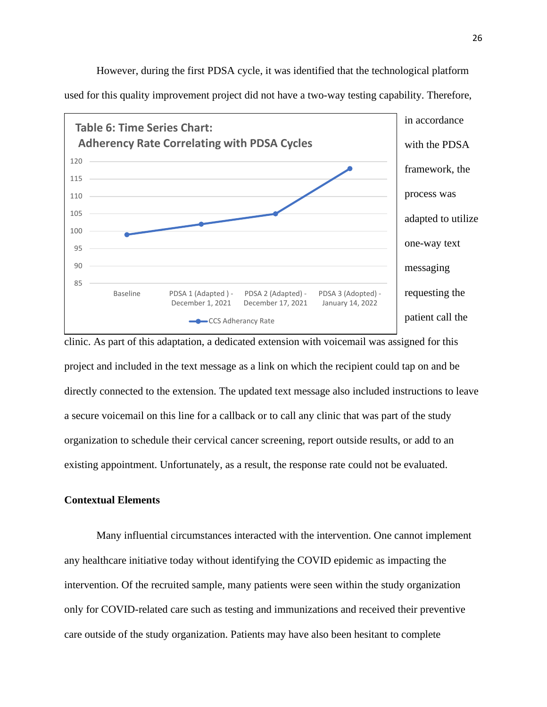

However, during the first PDSA cycle, it was identified that the technological platform used for this quality improvement project did not have a two-way testing capability. Therefore,

clinic. As part of this adaptation, a dedicated extension with voicemail was assigned for this project and included in the text message as a link on which the recipient could tap on and be directly connected to the extension. The updated text message also included instructions to leave a secure voicemail on this line for a callback or to call any clinic that was part of the study organization to schedule their cervical cancer screening, report outside results, or add to an existing appointment. Unfortunately, as a result, the response rate could not be evaluated.

#### **Contextual Elements**

Many influential circumstances interacted with the intervention. One cannot implement any healthcare initiative today without identifying the COVID epidemic as impacting the intervention. Of the recruited sample, many patients were seen within the study organization only for COVID-related care such as testing and immunizations and received their preventive care outside of the study organization. Patients may have also been hesitant to complete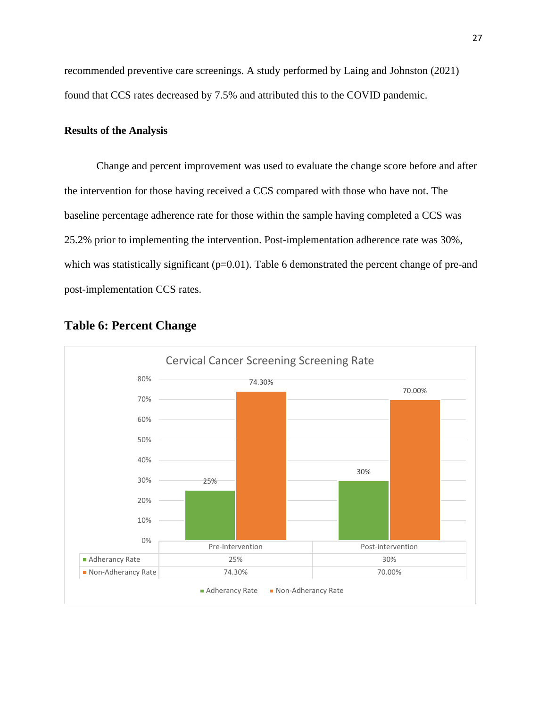recommended preventive care screenings. A study performed by Laing and Johnston (2021) found that CCS rates decreased by 7.5% and attributed this to the COVID pandemic.

#### **Results of the Analysis**

Change and percent improvement was used to evaluate the change score before and after the intervention for those having received a CCS compared with those who have not. The baseline percentage adherence rate for those within the sample having completed a CCS was 25.2% prior to implementing the intervention. Post-implementation adherence rate was 30%, which was statistically significant  $(p=0.01)$ . Table 6 demonstrated the percent change of pre-and post-implementation CCS rates.



## **Table 6: Percent Change**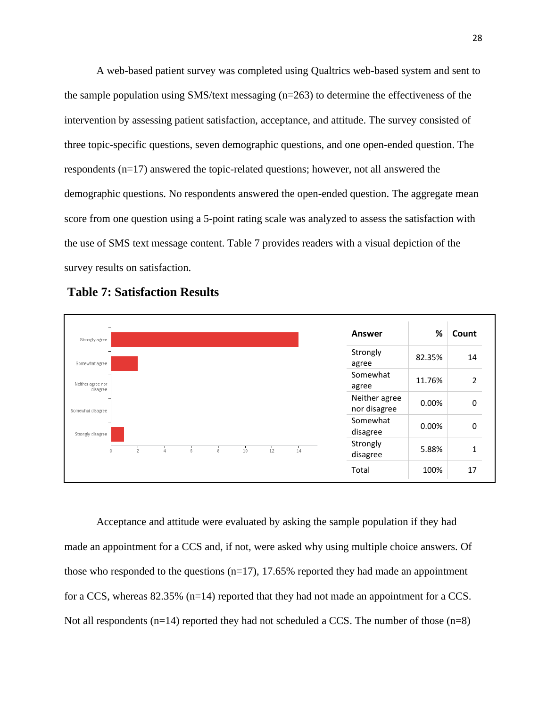A web-based patient survey was completed using Qualtrics web-based system and sent to the sample population using SMS/text messaging (n=263) to determine the effectiveness of the intervention by assessing patient satisfaction, acceptance, and attitude. The survey consisted of three topic-specific questions, seven demographic questions, and one open-ended question. The respondents (n=17) answered the topic-related questions; however, not all answered the demographic questions. No respondents answered the open-ended question. The aggregate mean score from one question using a 5-point rating scale was analyzed to assess the satisfaction with the use of SMS text message content. Table 7 provides readers with a visual depiction of the survey results on satisfaction.



**Table 7: Satisfaction Results**

Acceptance and attitude were evaluated by asking the sample population if they had made an appointment for a CCS and, if not, were asked why using multiple choice answers. Of those who responded to the questions  $(n=17)$ , 17.65% reported they had made an appointment for a CCS, whereas 82.35% (n=14) reported that they had not made an appointment for a CCS. Not all respondents  $(n=14)$  reported they had not scheduled a CCS. The number of those  $(n=8)$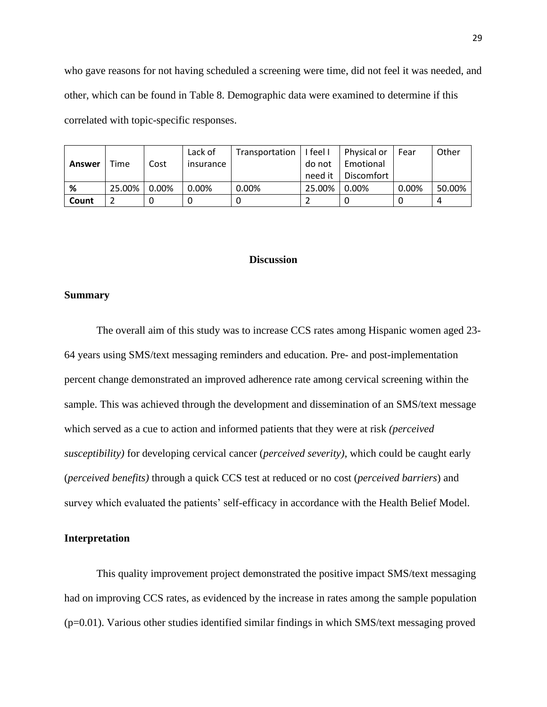who gave reasons for not having scheduled a screening were time, did not feel it was needed, and other, which can be found in Table 8. Demographic data were examined to determine if this correlated with topic-specific responses.

|        |        |       | Lack of   | Transportation | I feel I | Physical or | Fear  | Other  |
|--------|--------|-------|-----------|----------------|----------|-------------|-------|--------|
| Answer | Time   | Cost  | insurance |                | do not   | Emotional   |       |        |
|        |        |       |           |                | need it  | Discomfort  |       |        |
| %      | 25.00% | 0.00% | $0.00\%$  | 0.00%          | 25.00%   | 0.00%       | 0.00% | 50.00% |
| Count  |        |       |           |                |          |             |       |        |

#### **Discussion**

#### **Summary**

The overall aim of this study was to increase CCS rates among Hispanic women aged 23- 64 years using SMS/text messaging reminders and education. Pre- and post-implementation percent change demonstrated an improved adherence rate among cervical screening within the sample. This was achieved through the development and dissemination of an SMS/text message which served as a cue to action and informed patients that they were at risk *(perceived susceptibility)* for developing cervical cancer (*perceived severity)*, which could be caught early (*perceived benefits)* through a quick CCS test at reduced or no cost (*perceived barriers*) and survey which evaluated the patients' self-efficacy in accordance with the Health Belief Model.

#### **Interpretation**

This quality improvement project demonstrated the positive impact SMS/text messaging had on improving CCS rates, as evidenced by the increase in rates among the sample population (p=0.01). Various other studies identified similar findings in which SMS/text messaging proved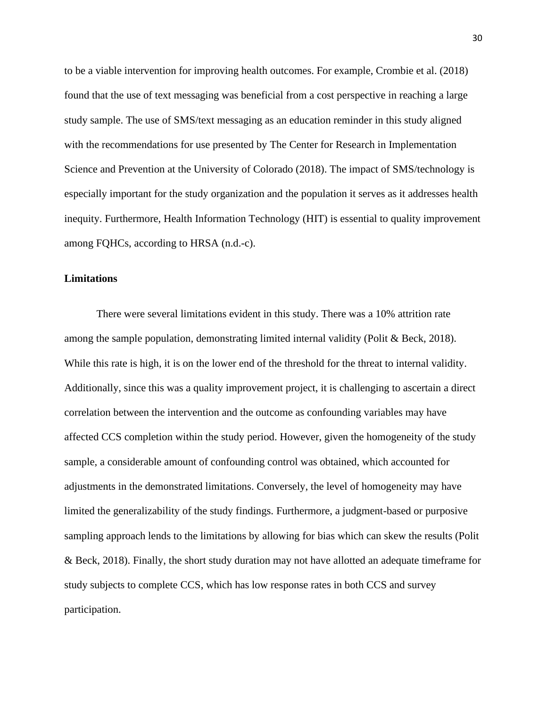to be a viable intervention for improving health outcomes. For example, Crombie et al. (2018) found that the use of text messaging was beneficial from a cost perspective in reaching a large study sample. The use of SMS/text messaging as an education reminder in this study aligned with the recommendations for use presented by The Center for Research in Implementation Science and Prevention at the University of Colorado (2018). The impact of SMS/technology is especially important for the study organization and the population it serves as it addresses health inequity. Furthermore, Health Information Technology (HIT) is essential to quality improvement among FQHCs, according to HRSA (n.d.-c).

#### **Limitations**

There were several limitations evident in this study. There was a 10% attrition rate among the sample population, demonstrating limited internal validity (Polit & Beck, 2018). While this rate is high, it is on the lower end of the threshold for the threat to internal validity. Additionally, since this was a quality improvement project, it is challenging to ascertain a direct correlation between the intervention and the outcome as confounding variables may have affected CCS completion within the study period. However, given the homogeneity of the study sample, a considerable amount of confounding control was obtained, which accounted for adjustments in the demonstrated limitations. Conversely, the level of homogeneity may have limited the generalizability of the study findings. Furthermore, a judgment-based or purposive sampling approach lends to the limitations by allowing for bias which can skew the results (Polit & Beck, 2018). Finally, the short study duration may not have allotted an adequate timeframe for study subjects to complete CCS, which has low response rates in both CCS and survey participation.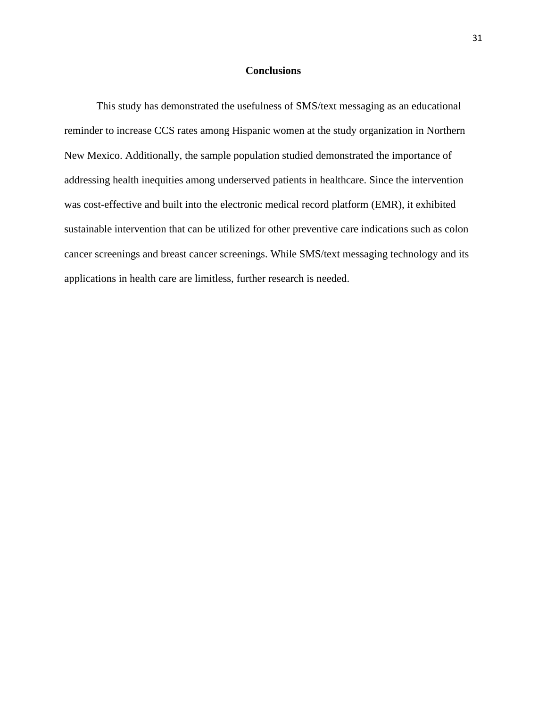#### **Conclusions**

This study has demonstrated the usefulness of SMS/text messaging as an educational reminder to increase CCS rates among Hispanic women at the study organization in Northern New Mexico. Additionally, the sample population studied demonstrated the importance of addressing health inequities among underserved patients in healthcare. Since the intervention was cost-effective and built into the electronic medical record platform (EMR), it exhibited sustainable intervention that can be utilized for other preventive care indications such as colon cancer screenings and breast cancer screenings. While SMS/text messaging technology and its applications in health care are limitless, further research is needed.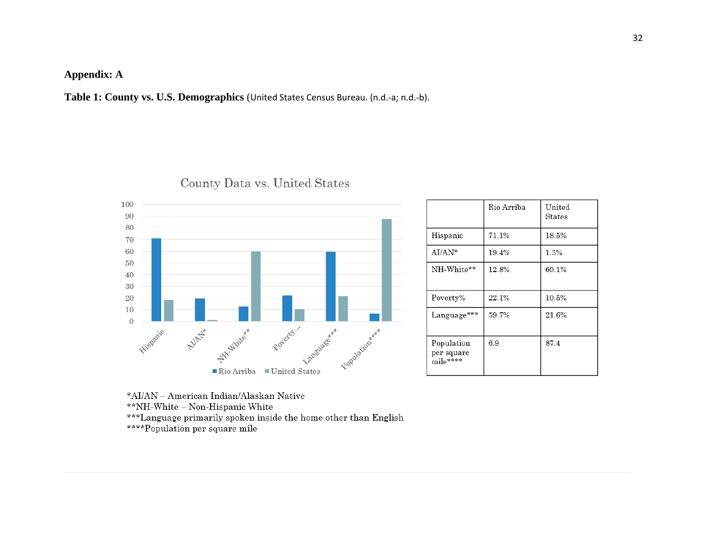## **Appendix: A**

**Table 1: County vs. U.S. Demographics** (United States Census Bureau. (n.d.-a; n.d.-b).



|                                      | Rio Arriba | United<br>States |
|--------------------------------------|------------|------------------|
| Hispanic                             | 71.1%      | 18.5%            |
| $AI/AN*$                             | 19.4%      | 1.3%             |
| NH-White**                           | 12.8%      | 60.1%            |
| Poverty%                             | 22.1%      | 10.5%            |
| Language***                          | 59.7%      | 21.6%            |
| Population<br>per square<br>mile**** | 6.9        | 87.4             |

## County Data vs. United States

\*AI/AN - American Indian/Alaskan Native \*\*NH-White - Non-Hispanic White \*\*\*Language primarily spoken inside the home other than English \*\*\*\*Population per square mile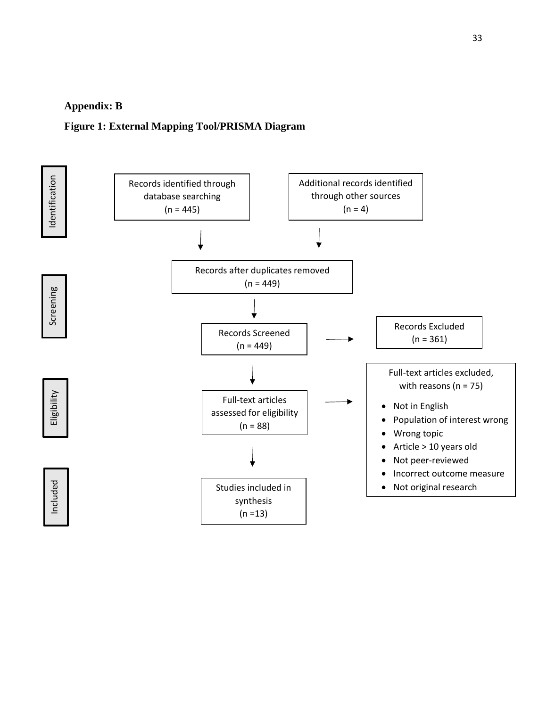#### **Appendix: B**

#### **Figure 1: External Mapping Tool/PRISMA Diagram**

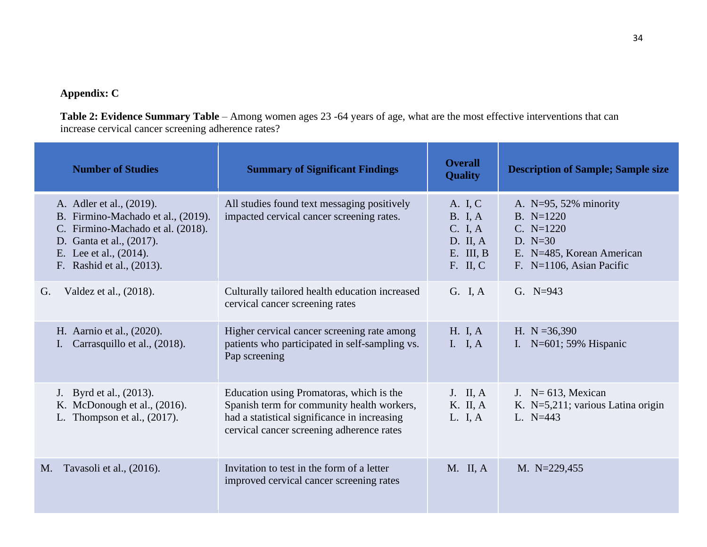## **Appendix: C**

**Table 2: Evidence Summary Table** – Among women ages 23 -64 years of age, what are the most effective interventions that can increase cervical cancer screening adherence rates?

| <b>Number of Studies</b>                                                                                                                                                               | <b>Summary of Significant Findings</b>                                                                                                                                              | <b>Overall</b><br><b>Quality</b>                                                | <b>Description of Sample; Sample size</b>                                                                                       |
|----------------------------------------------------------------------------------------------------------------------------------------------------------------------------------------|-------------------------------------------------------------------------------------------------------------------------------------------------------------------------------------|---------------------------------------------------------------------------------|---------------------------------------------------------------------------------------------------------------------------------|
| A. Adler et al., (2019).<br>B. Firmino-Machado et al., (2019).<br>C. Firmino-Machado et al. (2018).<br>D. Ganta et al., (2017).<br>E. Lee et al., (2014).<br>F. Rashid et al., (2013). | All studies found text messaging positively<br>impacted cervical cancer screening rates.                                                                                            | A. I, C<br><b>B.</b> I, A<br>C. I, A<br>D. II, A<br>$E.$ III, $B$<br>$F.$ II, C | A. $N=95, 52\%$ minority<br>$B. N=1220$<br>$C. N=1220$<br>D. $N=30$<br>E. N=485, Korean American<br>F. $N=1106$ , Asian Pacific |
| Valdez et al., (2018).<br>G.                                                                                                                                                           | Culturally tailored health education increased<br>cervical cancer screening rates                                                                                                   | G. I, A                                                                         | G. $N=943$                                                                                                                      |
| H. Aarnio et al., (2020).<br>Carrasquillo et al., (2018).                                                                                                                              | Higher cervical cancer screening rate among<br>patients who participated in self-sampling vs.<br>Pap screening                                                                      | H. I. A<br>I. I, $A$                                                            | H. $N = 36,390$<br>I. $N=601$ ; 59% Hispanic                                                                                    |
| J. Byrd et al., (2013).<br>K. McDonough et al., (2016).<br>L. Thompson et al., $(2017)$ .                                                                                              | Education using Promatoras, which is the<br>Spanish term for community health workers,<br>had a statistical significance in increasing<br>cervical cancer screening adherence rates | $J.$ II, A<br>K. II, A<br>L. I, A                                               | J. $N=613$ , Mexican<br>K. N=5,211; various Latina origin<br>L. $N=443$                                                         |
| Tavasoli et al., (2016).<br>M.                                                                                                                                                         | Invitation to test in the form of a letter<br>improved cervical cancer screening rates                                                                                              | $M.$ II, A                                                                      | M. N=229,455                                                                                                                    |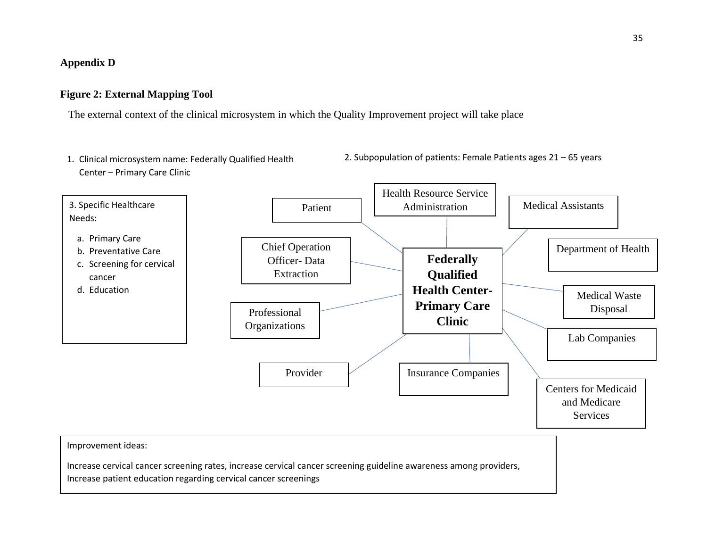### **Appendix D**

#### **Figure 2: External Mapping Tool**

The external context of the clinical microsystem in which the Quality Improvement project will take place

1. Clinical microsystem name: Federally Qualified Health Center – Primary Care Clinic



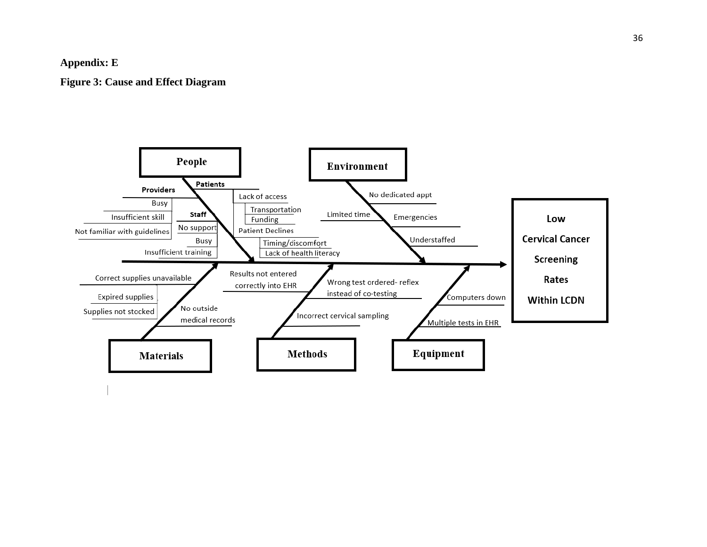### **Appendix: E**

**Figure 3: Cause and Effect Diagra m**

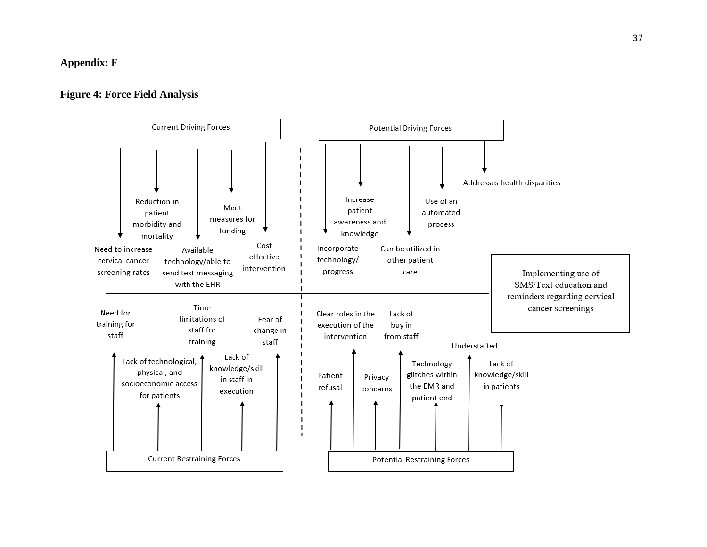### **Appendix: F**

#### **Figure 4: Force Field Analysis**

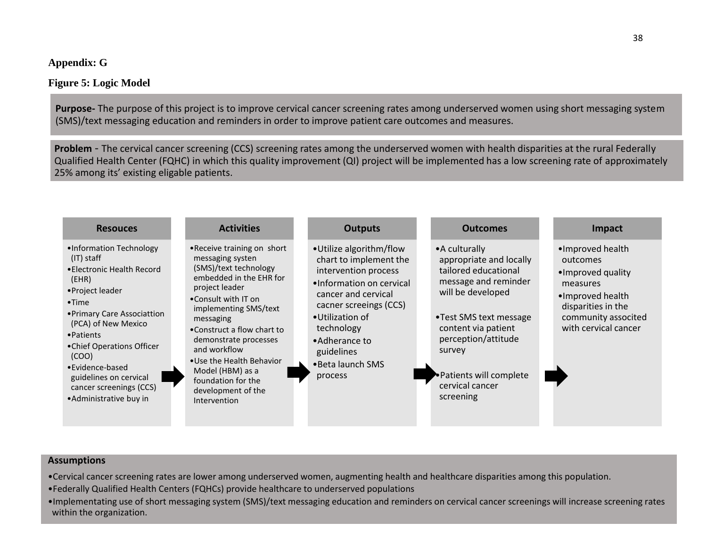### **Appendix: G**

## **Figure 5: Logic Model**

**Purpose-** The purpose of this project is to improve cervical cancer screening rates among underserved women using short messaging system (SMS)/text messaging education and reminders in order to improve patient care outcomes and measures.

**Problem** - The cervical cancer screening (CCS) screening rates among the underserved women with health disparities at the rural Federally Qualified Health Center (FQHC) in which this quality improvement (QI) project will be implemented has a low screening rate of approximately 25% among its' existing eligable patients.



#### **Assumptions**

- •Cervical cancer screening rates are lower among underserved women, augmenting health and healthcare disparities among this population.
- •Federally Qualified Health Centers (FQHCs) provide healthcare to underserved populations
- •Implementating use of short messaging system (SMS)/text messaging education and reminders on cervical cancer screenings will increase screening rates within the organization.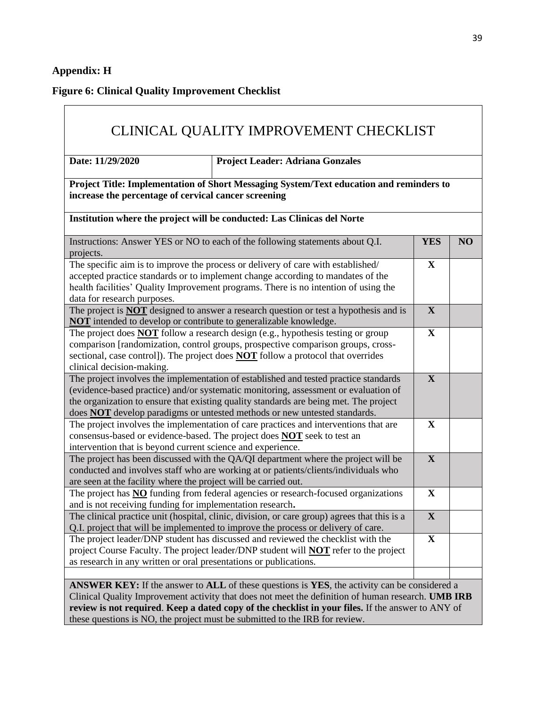## **Appendix: H**

**Figure 6: Clinical Quality Improvement Checklist**

|                                                                          | <b>Project Leader: Adriana Gonzales</b>                                                                                                                                                                                                                                                                                                                  |              |    |
|--------------------------------------------------------------------------|----------------------------------------------------------------------------------------------------------------------------------------------------------------------------------------------------------------------------------------------------------------------------------------------------------------------------------------------------------|--------------|----|
| increase the percentage of cervical cancer screening                     | Project Title: Implementation of Short Messaging System/Text education and reminders to                                                                                                                                                                                                                                                                  |              |    |
|                                                                          | Institution where the project will be conducted: Las Clinicas del Norte                                                                                                                                                                                                                                                                                  |              |    |
| projects.                                                                | Instructions: Answer YES or NO to each of the following statements about Q.I.                                                                                                                                                                                                                                                                            | <b>YES</b>   | NO |
| data for research purposes.                                              | The specific aim is to improve the process or delivery of care with established/<br>accepted practice standards or to implement change according to mandates of the<br>health facilities' Quality Improvement programs. There is no intention of using the                                                                                               | $\mathbf X$  |    |
| <b>NOT</b> intended to develop or contribute to generalizable knowledge. | The project is <b>NOT</b> designed to answer a research question or test a hypothesis and is                                                                                                                                                                                                                                                             | $\mathbf{X}$ |    |
| clinical decision-making.                                                | The project does <b>NOT</b> follow a research design (e.g., hypothesis testing or group<br>comparison [randomization, control groups, prospective comparison groups, cross-<br>sectional, case control]). The project does <b>NOT</b> follow a protocol that overrides                                                                                   | $\mathbf X$  |    |
|                                                                          | The project involves the implementation of established and tested practice standards<br>(evidence-based practice) and/or systematic monitoring, assessment or evaluation of<br>the organization to ensure that existing quality standards are being met. The project<br>does <b>NOT</b> develop paradigms or untested methods or new untested standards. | $\mathbf{X}$ |    |
| intervention that is beyond current science and experience.              | The project involves the implementation of care practices and interventions that are<br>consensus-based or evidence-based. The project does <b>NOT</b> seek to test an                                                                                                                                                                                   | $\mathbf X$  |    |
| are seen at the facility where the project will be carried out.          | The project has been discussed with the QA/QI department where the project will be<br>conducted and involves staff who are working at or patients/clients/individuals who                                                                                                                                                                                | $\mathbf X$  |    |
| and is not receiving funding for implementation research.                | The project has <b>NO</b> funding from federal agencies or research-focused organizations                                                                                                                                                                                                                                                                | $\mathbf X$  |    |
|                                                                          | The clinical practice unit (hospital, clinic, division, or care group) agrees that this is a<br>Q.I. project that will be implemented to improve the process or delivery of care.                                                                                                                                                                        | $\mathbf X$  |    |
|                                                                          | The project leader/DNP student has discussed and reviewed the checklist with the<br>project Course Faculty. The project leader/DNP student will <b>NOT</b> refer to the project                                                                                                                                                                          | $\mathbf X$  |    |

these questions is NO, the project must be submitted to the IRB for review.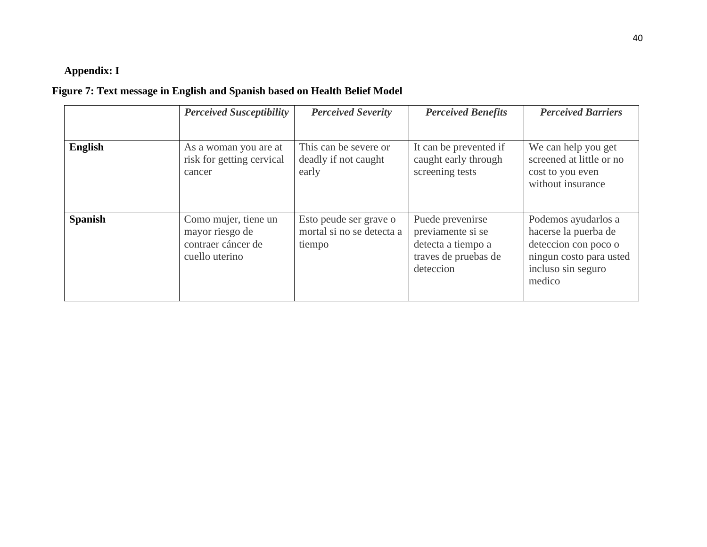## **Appendix: I**

## **Figure 7: Text message in English and Spanish based on Health Belief Model**

|                | <b>Perceived Susceptibility</b>                                                 | <b>Perceived Severity</b>                                     | <b>Perceived Benefits</b>                                                                        | <b>Perceived Barriers</b>                                                                                                      |
|----------------|---------------------------------------------------------------------------------|---------------------------------------------------------------|--------------------------------------------------------------------------------------------------|--------------------------------------------------------------------------------------------------------------------------------|
| <b>English</b> | As a woman you are at<br>risk for getting cervical<br>cancer                    | This can be severe or<br>deadly if not caught<br>early        | It can be prevented if<br>caught early through<br>screening tests                                | We can help you get<br>screened at little or no<br>cost to you even<br>without insurance                                       |
| <b>Spanish</b> | Como mujer, tiene un<br>mayor riesgo de<br>contraer cáncer de<br>cuello uterino | Esto peude ser grave o<br>mortal si no se detecta a<br>tiempo | Puede prevenirse<br>previamente si se<br>detecta a tiempo a<br>traves de pruebas de<br>deteccion | Podemos ayudarlos a<br>hacerse la puerba de<br>deteccion con poco o<br>ningun costo para usted<br>incluso sin seguro<br>medico |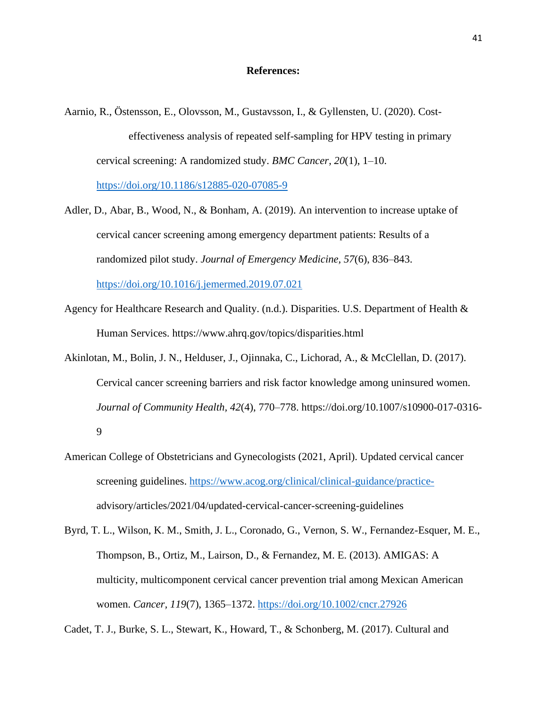#### **References:**

- Aarnio, R., Östensson, E., Olovsson, M., Gustavsson, I., & Gyllensten, U. (2020). Costeffectiveness analysis of repeated self-sampling for HPV testing in primary cervical screening: A randomized study. *BMC Cancer, 20*(1), 1–10. <https://doi.org/10.1186/s12885-020-07085-9>
- Adler, D., Abar, B., Wood, N., & Bonham, A. (2019). An intervention to increase uptake of cervical cancer screening among emergency department patients: Results of a randomized pilot study. *Journal of Emergency Medicine, 57*(6), 836–843. <https://doi.org/10.1016/j.jemermed.2019.07.021>
- Agency for Healthcare Research and Quality. (n.d.). Disparities. U.S. Department of Health & Human Services. https://www.ahrq.gov/topics/disparities.html
- Akinlotan, M., Bolin, J. N., Helduser, J., Ojinnaka, C., Lichorad, A., & McClellan, D. (2017). Cervical cancer screening barriers and risk factor knowledge among uninsured women. *Journal of Community Health, 42*(4), 770–778. https://doi.org/10.1007/s10900-017-0316- 9
- American College of Obstetricians and Gynecologists (2021, April). Updated cervical cancer screening guidelines. [https://www.acog.org/clinical/clinical-guidance/practice](https://www.acog.org/clinical/clinical-guidance/practice-)advisory/articles/2021/04/updated-cervical-cancer-screening-guidelines
- Byrd, T. L., Wilson, K. M., Smith, J. L., Coronado, G., Vernon, S. W., Fernandez-Esquer, M. E., Thompson, B., Ortiz, M., Lairson, D., & Fernandez, M. E. (2013). AMIGAS: A multicity, multicomponent cervical cancer prevention trial among Mexican American women. *Cancer, 119*(7), 1365–1372.<https://doi.org/10.1002/cncr.27926>

Cadet, T. J., Burke, S. L., Stewart, K., Howard, T., & Schonberg, M. (2017). Cultural and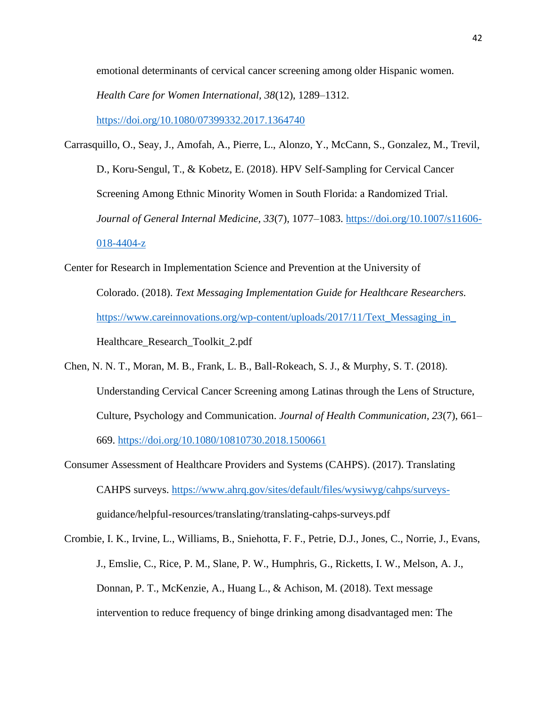emotional determinants of cervical cancer screening among older Hispanic women.

*Health Care for Women International, 38*(12), 1289–1312.

<https://doi.org/10.1080/07399332.2017.1364740>

- Carrasquillo, O., Seay, J., Amofah, A., Pierre, L., Alonzo, Y., McCann, S., Gonzalez, M., Trevil, D., Koru-Sengul, T., & Kobetz, E. (2018). HPV Self-Sampling for Cervical Cancer Screening Among Ethnic Minority Women in South Florida: a Randomized Trial. Journal of General Internal Medicine, 33(7), 1077-1083. [https://doi.org/10.1007/s11606-](https://doi.org/10.1007/s11606-018-4404-z) [018-4404-z](https://doi.org/10.1007/s11606-018-4404-z)
- Center for Research in Implementation Science and Prevention at the University of Colorado. (2018). *Text Messaging Implementation Guide for Healthcare Researchers.*  [https://www.careinnovations.org/wp-content/uploads/2017/11/Text\\_Messaging\\_in\\_](https://www.careinnovations.org/wp-content/uploads/2017/11/Text_Messaging_in_) Healthcare\_Research\_Toolkit\_2.pdf
- Chen, N. N. T., Moran, M. B., Frank, L. B., Ball-Rokeach, S. J., & Murphy, S. T. (2018). Understanding Cervical Cancer Screening among Latinas through the Lens of Structure, Culture, Psychology and Communication. *Journal of Health Communication, 23*(7), 661– 669.<https://doi.org/10.1080/10810730.2018.1500661>
- Consumer Assessment of Healthcare Providers and Systems (CAHPS). (2017). Translating CAHPS surveys. [https://www.ahrq.gov/sites/default/files/wysiwyg/cahps/surveys](https://www.ahrq.gov/sites/default/files/wysiwyg/cahps/surveys-)guidance/helpful-resources/translating/translating-cahps-surveys.pdf

Crombie, I. K., Irvine, L., Williams, B., Sniehotta, F. F., Petrie, D.J., Jones, C., Norrie, J., Evans, J., Emslie, C., Rice, P. M., Slane, P. W., Humphris, G., Ricketts, I. W., Melson, A. J., Donnan, P. T., McKenzie, A., Huang L., & Achison, M. (2018). Text message intervention to reduce frequency of binge drinking among disadvantaged men: The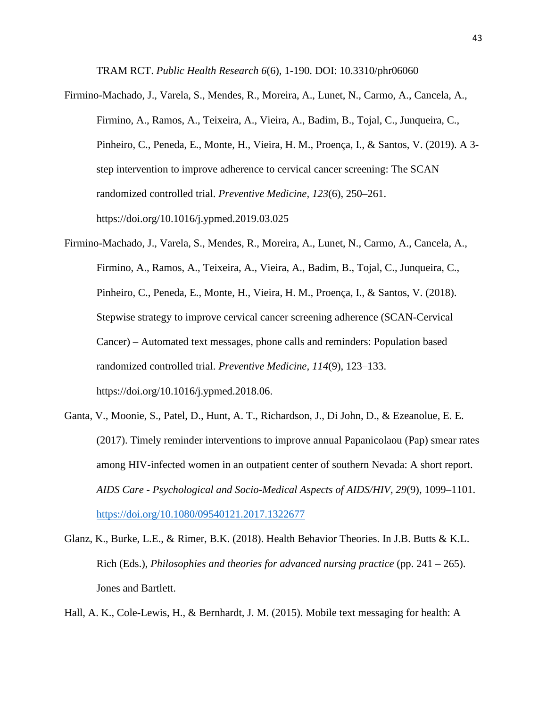TRAM RCT. *Public Health Research 6*(6), 1-190. DOI: 10.3310/phr06060

- Firmino-Machado, J., Varela, S., Mendes, R., Moreira, A., Lunet, N., Carmo, A., Cancela, A., Firmino, A., Ramos, A., Teixeira, A., Vieira, A., Badim, B., Tojal, C., Junqueira, C., Pinheiro, C., Peneda, E., Monte, H., Vieira, H. M., Proença, I., & Santos, V. (2019). A 3 step intervention to improve adherence to cervical cancer screening: The SCAN randomized controlled trial. *Preventive Medicine, 123*(6), 250–261. https://doi.org/10.1016/j.ypmed.2019.03.025
- Firmino-Machado, J., Varela, S., Mendes, R., Moreira, A., Lunet, N., Carmo, A., Cancela, A., Firmino, A., Ramos, A., Teixeira, A., Vieira, A., Badim, B., Tojal, C., Junqueira, C., Pinheiro, C., Peneda, E., Monte, H., Vieira, H. M., Proença, I., & Santos, V. (2018). Stepwise strategy to improve cervical cancer screening adherence (SCAN-Cervical Cancer) – Automated text messages, phone calls and reminders: Population based randomized controlled trial. *Preventive Medicine, 114*(9), 123–133. https://doi.org/10.1016/j.ypmed.2018.06.
- Ganta, V., Moonie, S., Patel, D., Hunt, A. T., Richardson, J., Di John, D., & Ezeanolue, E. E. (2017). Timely reminder interventions to improve annual Papanicolaou (Pap) smear rates among HIV-infected women in an outpatient center of southern Nevada: A short report. *AIDS Care - Psychological and Socio-Medical Aspects of AIDS/HIV, 29*(9), 1099–1101. <https://doi.org/10.1080/09540121.2017.1322677>
- Glanz, K., Burke, L.E., & Rimer, B.K. (2018). Health Behavior Theories. In J.B. Butts & K.L. Rich (Eds.), *Philosophies and theories for advanced nursing practice* (pp. 241 – 265). Jones and Bartlett.

Hall, A. K., Cole-Lewis, H., & Bernhardt, J. M. (2015). Mobile text messaging for health: A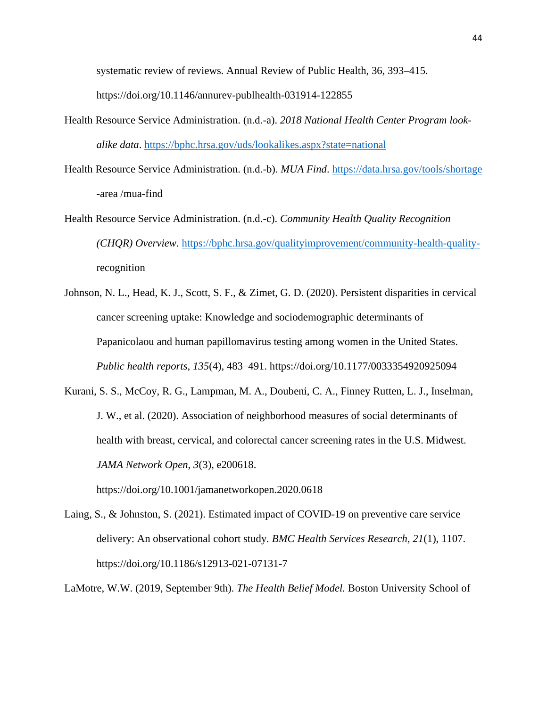systematic review of reviews. Annual Review of Public Health, 36, 393–415.

https://doi.org/10.1146/annurev-publhealth-031914-122855

- Health Resource Service Administration. (n.d.-a). *2018 National Health Center Program lookalike data*.<https://bphc.hrsa.gov/uds/lookalikes.aspx?state=national>
- Health Resource Service Administration. (n.d.-b). *MUA Find*.<https://data.hrsa.gov/tools/shortage> -area /mua-find
- Health Resource Service Administration. (n.d.-c). *Community Health Quality Recognition (CHQR) Overview.* [https://bphc.hrsa.gov/qualityimprovement/community-health-quality](https://bphc.hrsa.gov/qualityimprovement/community-health-quality-)recognition
- Johnson, N. L., Head, K. J., Scott, S. F., & Zimet, G. D. (2020). Persistent disparities in cervical cancer screening uptake: Knowledge and sociodemographic determinants of Papanicolaou and human papillomavirus testing among women in the United States. *Public health reports, 135*(4), 483–491. https://doi.org/10.1177/0033354920925094
- Kurani, S. S., McCoy, R. G., Lampman, M. A., Doubeni, C. A., Finney Rutten, L. J., Inselman, J. W., et al. (2020). Association of neighborhood measures of social determinants of health with breast, cervical, and colorectal cancer screening rates in the U.S. Midwest. *JAMA Network Open*, *3*(3), e200618. https://doi.org/10.1001/jamanetworkopen.2020.0618
- Laing, S., & Johnston, S. (2021). Estimated impact of COVID-19 on preventive care service delivery: An observational cohort study*. BMC Health Services Research, 21*(1), 1107. https://doi.org/10.1186/s12913-021-07131-7
- LaMotre, W.W. (2019, September 9th). *The Health Belief Model.* Boston University School of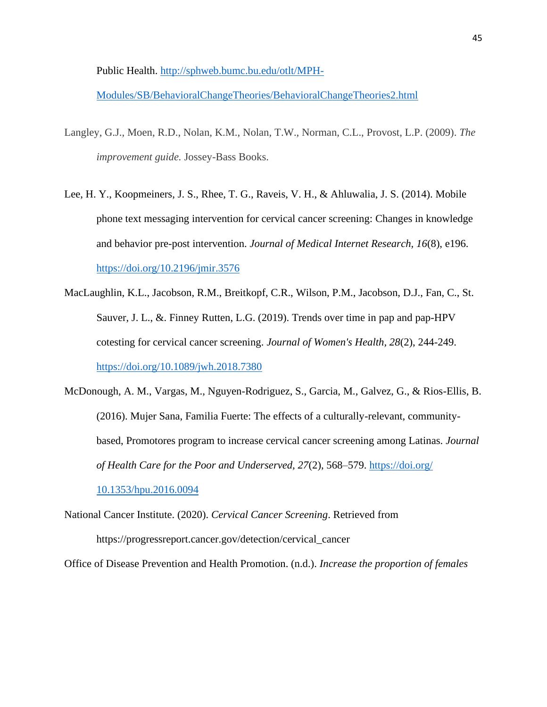Public Health. [http://sphweb.bumc.bu.edu/otlt/MPH-](http://sphweb.bumc.bu.edu/otlt/MPH-Modules/SB/BehavioralChangeTheories/BehavioralChangeTheories2.html)

[Modules/SB/BehavioralChangeTheories/BehavioralChangeTheories2.html](http://sphweb.bumc.bu.edu/otlt/MPH-Modules/SB/BehavioralChangeTheories/BehavioralChangeTheories2.html)

- Langley, G.J., Moen, R.D., Nolan, K.M., Nolan, T.W., Norman, C.L., Provost, L.P. (2009). *The improvement guide.* Jossey-Bass Books.
- Lee, H. Y., Koopmeiners, J. S., Rhee, T. G., Raveis, V. H., & Ahluwalia, J. S. (2014). Mobile phone text messaging intervention for cervical cancer screening: Changes in knowledge and behavior pre-post intervention. *Journal of Medical Internet Research, 16*(8), e196. <https://doi.org/10.2196/jmir.3576>
- MacLaughlin, K.L., Jacobson, R.M., Breitkopf, C.R., Wilson, P.M., Jacobson, D.J., Fan, C., St. Sauver, J. L., &. Finney Rutten, L.G. (2019). Trends over time in pap and pap-HPV cotesting for cervical cancer screening. *Journal of Women's Health, 28*(2), 244-249. <https://doi.org/10.1089/jwh.2018.7380>
- McDonough, A. M., Vargas, M., Nguyen-Rodriguez, S., Garcia, M., Galvez, G., & Rios-Ellis, B. (2016). Mujer Sana, Familia Fuerte: The effects of a culturally-relevant, communitybased, Promotores program to increase cervical cancer screening among Latinas. *Journal of Health Care for the Poor and Underserved, 27*(2), 568–579. [https://doi.org/](https://doi.org/%2010.1353/hpu.2016.0094)  [10.1353/hpu.2016.0094](https://doi.org/%2010.1353/hpu.2016.0094)
- National Cancer Institute. (2020). *Cervical Cancer Screening*. Retrieved from https://progressreport.cancer.gov/detection/cervical\_cancer

Office of Disease Prevention and Health Promotion. (n.d.). *Increase the proportion of females*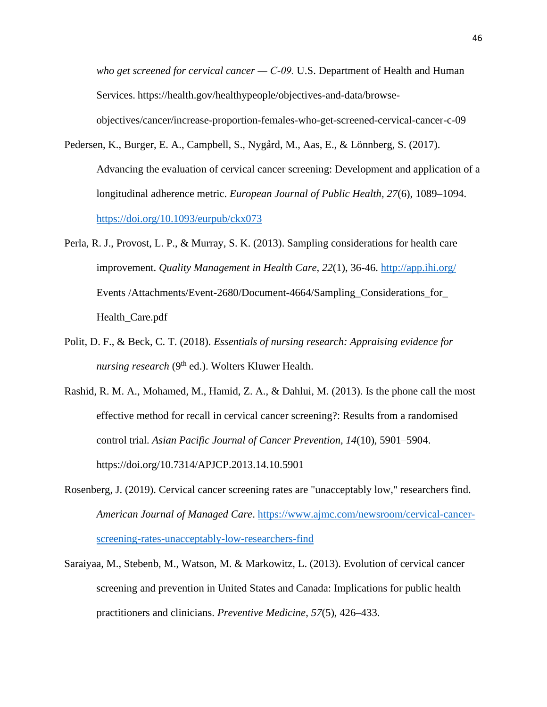*who get screened for cervical cancer — C‑09.* U.S. Department of Health and Human Services. https://health.gov/healthypeople/objectives-and-data/browseobjectives/cancer/increase-proportion-females-who-get-screened-cervical-cancer-c-09

- Pedersen, K., Burger, E. A., Campbell, S., Nygård, M., Aas, E., & Lönnberg, S. (2017). Advancing the evaluation of cervical cancer screening: Development and application of a longitudinal adherence metric. *European Journal of Public Health, 27*(6), 1089–1094. <https://doi.org/10.1093/eurpub/ckx073>
- Perla, R. J., Provost, L. P., & Murray, S. K. (2013). Sampling considerations for health care improvement. *Quality Management in Health Care, 22*(1), 36-46.<http://app.ihi.org/> Events /Attachments/Event-2680/Document-4664/Sampling\_Considerations\_for\_ Health\_Care.pdf
- Polit, D. F., & Beck, C. T. (2018). *Essentials of nursing research: Appraising evidence for nursing research* (9<sup>th</sup> ed.). Wolters Kluwer Health.
- Rashid, R. M. A., Mohamed, M., Hamid, Z. A., & Dahlui, M. (2013). Is the phone call the most effective method for recall in cervical cancer screening?: Results from a randomised control trial. *Asian Pacific Journal of Cancer Prevention, 14*(10), 5901–5904. https://doi.org/10.7314/APJCP.2013.14.10.5901
- Rosenberg, J. (2019). Cervical cancer screening rates are "unacceptably low," researchers find. *American Journal of Managed Care*. [https://www.ajmc.com/newsroom/cervical-cancer](https://www.ajmc.com/newsroom/cervical-cancer-screening-rates-unacceptably-low-researchers-find)[screening-rates-unacceptably-low-researchers-find](https://www.ajmc.com/newsroom/cervical-cancer-screening-rates-unacceptably-low-researchers-find)
- Saraiyaa, M., Stebenb, M., Watson, M. & Markowitz, L. (2013). Evolution of cervical cancer screening and prevention in United States and Canada: Implications for public health practitioners and clinicians. *Preventive Medicine*, *57*(5), 426–433.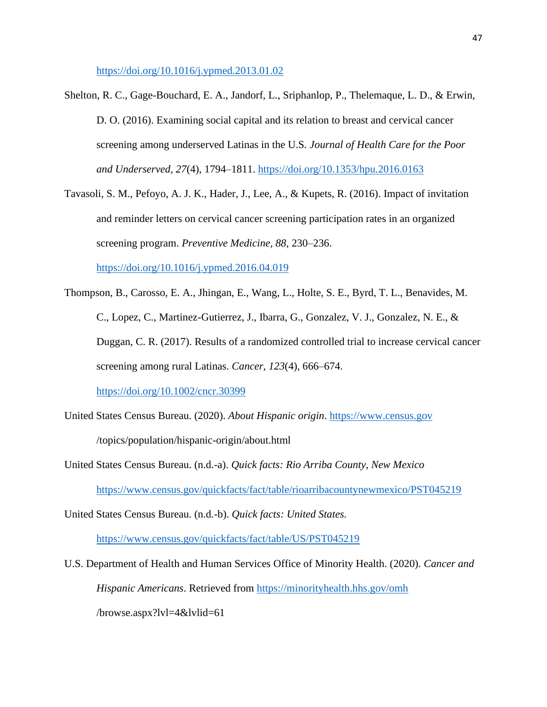<https://doi.org/10.1016/j.ypmed.2013.01.02>

- Shelton, R. C., Gage-Bouchard, E. A., Jandorf, L., Sriphanlop, P., Thelemaque, L. D., & Erwin, D. O. (2016). Examining social capital and its relation to breast and cervical cancer screening among underserved Latinas in the U.S*. Journal of Health Care for the Poor and Underserved, 27*(4), 1794–1811.<https://doi.org/10.1353/hpu.2016.0163>
- Tavasoli, S. M., Pefoyo, A. J. K., Hader, J., Lee, A., & Kupets, R. (2016). Impact of invitation and reminder letters on cervical cancer screening participation rates in an organized screening program. *Preventive Medicine, 88*, 230–236.

<https://doi.org/10.1016/j.ypmed.2016.04.019>

- Thompson, B., Carosso, E. A., Jhingan, E., Wang, L., Holte, S. E., Byrd, T. L., Benavides, M. C., Lopez, C., Martinez-Gutierrez, J., Ibarra, G., Gonzalez, V. J., Gonzalez, N. E., & Duggan, C. R. (2017). Results of a randomized controlled trial to increase cervical cancer screening among rural Latinas. *Cancer, 123*(4), 666–674. <https://doi.org/10.1002/cncr.30399>
- United States Census Bureau. (2020). *About Hispanic origin*. [https://www.census.gov](https://www.census.gov/) /topics/population/hispanic-origin/about.html
- United States Census Bureau. (n.d.-a). *Quick facts: Rio Arriba County, New Mexico* <https://www.census.gov/quickfacts/fact/table/rioarribacountynewmexico/PST045219>

United States Census Bureau. (n.d.-b). *Quick facts: United States.*

<https://www.census.gov/quickfacts/fact/table/US/PST045219>

U.S. Department of Health and Human Services Office of Minority Health. (2020). *Cancer and Hispanic Americans*. Retrieved from<https://minorityhealth.hhs.gov/omh>

/browse.aspx?lvl=4&lvlid=61